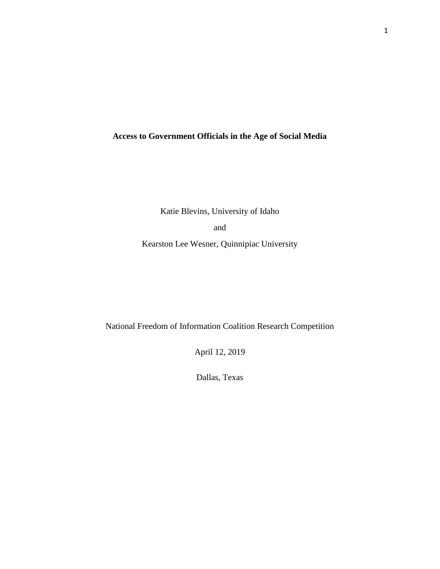## **Access to Government Officials in the Age of Social Media**

Katie Blevins, University of Idaho

and

Kearston Lee Wesner, Quinnipiac University

National Freedom of Information Coalition Research Competition

April 12, 2019

Dallas, Texas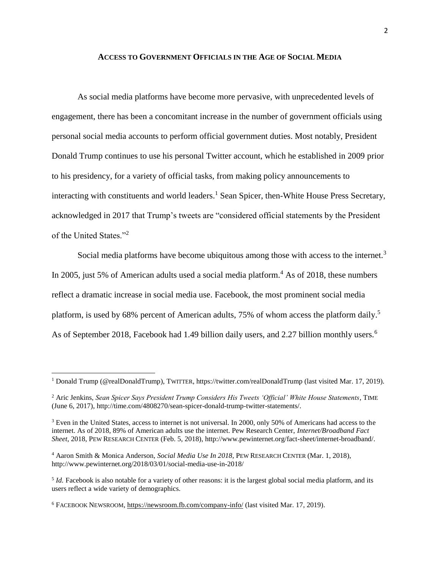#### **ACCESS TO GOVERNMENT OFFICIALS IN THE AGE OF SOCIAL MEDIA**

As social media platforms have become more pervasive, with unprecedented levels of engagement, there has been a concomitant increase in the number of government officials using personal social media accounts to perform official government duties. Most notably, President Donald Trump continues to use his personal Twitter account, which he established in 2009 prior to his presidency, for a variety of official tasks, from making policy announcements to interacting with constituents and world leaders. <sup>1</sup> Sean Spicer, then-White House Press Secretary, acknowledged in 2017 that Trump's tweets are "considered official statements by the President of the United States."<sup>2</sup>

<span id="page-1-0"></span>Social media platforms have become ubiquitous among those with access to the internet.<sup>3</sup> In 2005, just 5% of American adults used a social media platform.<sup>4</sup> As of 2018, these numbers reflect a dramatic increase in social media use. Facebook, the most prominent social media platform, is used by 68% percent of American adults, 75% of whom access the platform daily.<sup>5</sup> As of September 2018, Facebook had 1.49 billion daily users, and 2.27 billion monthly users.<sup>6</sup>

l

<sup>1</sup> Donald Trump (@realDonaldTrump), TWITTER,<https://twitter.com/realDonaldTrump> (last visited Mar. 17, 2019).

<sup>&</sup>lt;sup>2</sup> Aric Jenkins, *Sean Spicer Says President Trump Considers His Tweets 'Official' White House Statements*, TIME (June 6, 2017)[, http://time.com/4808270/sean-spicer-donald-trump-twitter-statements/.](http://time.com/4808270/sean-spicer-donald-trump-twitter-statements/)

<sup>3</sup> Even in the United States, access to internet is not universal. In 2000, only 50% of Americans had access to the internet. As of 2018, 89% of American adults use the internet. Pew Research Center, *Internet/Broadband Fact Sheet*, 2018, PEW RESEARCH CENTER (Feb. 5, 2018), http://www.pewinternet.org/fact-sheet/internet-broadband/.

<sup>4</sup> Aaron Smith & Monica Anderson, *Social Media Use In 2018*, PEW RESEARCH CENTER (Mar. 1, 2018), http://www.pewinternet.org/2018/03/01/social-media-use-in-2018/

<sup>&</sup>lt;sup>5</sup> *Id*. Facebook is also notable for a variety of other reasons: it is the largest global social media platform, and its users reflect a wide variety of demographics.

<sup>6</sup> FACEBOOK NEWSROOM,<https://newsroom.fb.com/company-info/> (last visited Mar. 17, 2019).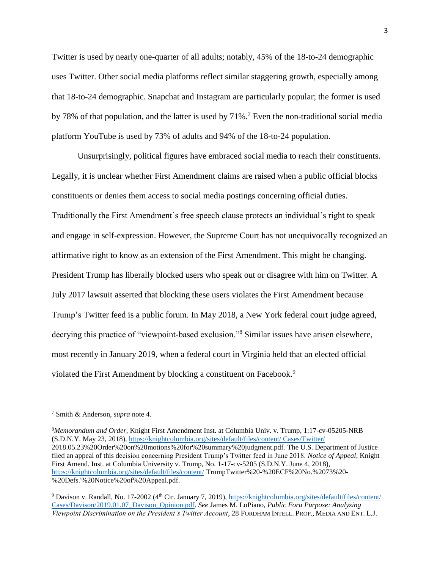Twitter is used by nearly one-quarter of all adults; notably, 45% of the 18-to-24 demographic uses Twitter. Other social media platforms reflect similar staggering growth, especially among that 18-to-24 demographic. Snapchat and Instagram are particularly popular; the former is used by 78% of that population, and the latter is used by 71%.<sup>7</sup> Even the non-traditional social media platform YouTube is used by 73% of adults and 94% of the 18-to-24 population.

Unsurprisingly, political figures have embraced social media to reach their constituents. Legally, it is unclear whether First Amendment claims are raised when a public official blocks constituents or denies them access to social media postings concerning official duties. Traditionally the First Amendment's free speech clause protects an individual's right to speak and engage in self-expression. However, the Supreme Court has not unequivocally recognized an affirmative right to know as an extension of the First Amendment. This might be changing. President Trump has liberally blocked users who speak out or disagree with him on Twitter. A July 2017 lawsuit asserted that blocking these users violates the First Amendment because Trump's Twitter feed is a public forum. In May 2018, a New York federal court judge agreed, decrying this practice of "viewpoint-based exclusion."<sup>8</sup> Similar issues have arisen elsewhere, most recently in January 2019, when a federal court in Virginia held that an elected official violated the First Amendment by blocking a constituent on Facebook.<sup>9</sup>

<span id="page-2-0"></span> $\overline{\phantom{a}}$ 

<sup>8</sup>*Memorandum and Order*, Knight First Amendment Inst. at Columbia Univ. v. Trump, 1:17-cv-05205-NRB (S.D.N.Y. May 23, 2018), [https://knightcolumbia.org/sites/default/files/content/ Cases/Twitter/](https://knightcolumbia.org/sites/default/files/content/Cases/Twitter/) 2018.05.23%20Order%20on%20motions%20for%20summary%20judgment.pdf. The U.S. Department of Justice filed an appeal of this decision concerning President Trump's Twitter feed in June 2018. *Notice of Appeal*, Knight First Amend. Inst. at Columbia University v. Trump, No. 1-17-cv-5205 (S.D.N.Y. June 4, 2018), <https://knightcolumbia.org/sites/default/files/content/> TrumpTwitter%20-%20ECF%20No.%2073%20- %20Defs.'%20Notice%20of%20Appeal.pdf.

<sup>7</sup> Smith & Anderson, *supra* note [4.](#page-1-0)

<sup>9</sup> Davison v. Randall, No. 17-2002 (4th Cir. January 7, 2019), [https://knightcolumbia.org/sites/default/files/content/](https://knightcolumbia.org/sites/default/files/content/Cases/Davison/2019.01.07_Davison_Opinion.pdf)  [Cases/Davison/2019.01.07\\_Davison\\_Opinion.pdf.](https://knightcolumbia.org/sites/default/files/content/Cases/Davison/2019.01.07_Davison_Opinion.pdf) *See* James M. LoPiano, *Public Fora Purpose: Analyzing Viewpoint Discrimination on the President's Twitter Account*, 28 FORDHAM INTELL. PROP., MEDIA AND ENT. L.J.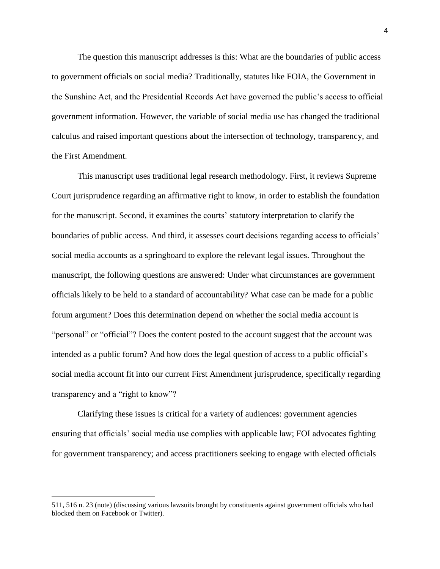The question this manuscript addresses is this: What are the boundaries of public access to government officials on social media? Traditionally, statutes like FOIA, the Government in the Sunshine Act, and the Presidential Records Act have governed the public's access to official government information. However, the variable of social media use has changed the traditional calculus and raised important questions about the intersection of technology, transparency, and the First Amendment.

This manuscript uses traditional legal research methodology. First, it reviews Supreme Court jurisprudence regarding an affirmative right to know, in order to establish the foundation for the manuscript. Second, it examines the courts' statutory interpretation to clarify the boundaries of public access. And third, it assesses court decisions regarding access to officials' social media accounts as a springboard to explore the relevant legal issues. Throughout the manuscript, the following questions are answered: Under what circumstances are government officials likely to be held to a standard of accountability? What case can be made for a public forum argument? Does this determination depend on whether the social media account is "personal" or "official"? Does the content posted to the account suggest that the account was intended as a public forum? And how does the legal question of access to a public official's social media account fit into our current First Amendment jurisprudence, specifically regarding transparency and a "right to know"?

Clarifying these issues is critical for a variety of audiences: government agencies ensuring that officials' social media use complies with applicable law; FOI advocates fighting for government transparency; and access practitioners seeking to engage with elected officials

 $\overline{a}$ 

<sup>511, 516</sup> n. 23 (note) (discussing various lawsuits brought by constituents against government officials who had blocked them on Facebook or Twitter).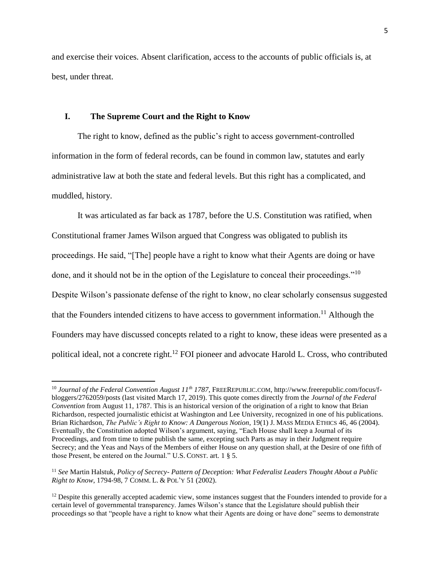and exercise their voices. Absent clarification, access to the accounts of public officials is, at best, under threat.

#### **I. The Supreme Court and the Right to Know**

 $\overline{\phantom{a}}$ 

The right to know, defined as the public's right to access government-controlled information in the form of federal records, can be found in common law, statutes and early administrative law at both the state and federal levels. But this right has a complicated, and muddled, history.

It was articulated as far back as 1787, before the U.S. Constitution was ratified, when Constitutional framer James Wilson argued that Congress was obligated to publish its proceedings. He said, "[The] people have a right to know what their Agents are doing or have done, and it should not be in the option of the Legislature to conceal their proceedings."<sup>10</sup> Despite Wilson's passionate defense of the right to know, no clear scholarly consensus suggested that the Founders intended citizens to have access to government information.<sup>11</sup> Although the Founders may have discussed concepts related to a right to know, these ideas were presented as a political ideal, not a concrete right.<sup>12</sup> FOI pioneer and advocate Harold L. Cross, who contributed

<sup>10</sup> *Journal of the Federal Convention August 11th 1787*, FREEREPUBLIC.COM, http://www.freerepublic.com/focus/fbloggers/2762059/posts (last visited March 17, 2019). This quote comes directly from the *Journal of the Federal Convention* from August 11, 1787. This is an historical version of the origination of a right to know that Brian Richardson, respected journalistic ethicist at Washington and Lee University, recognized in one of his publications. Brian Richardson, *The Public's Right to Know: A Dangerous Notion*, 19(1) J. MASS MEDIA ETHICS 46, 46 (2004). Eventually, the Constitution adopted Wilson's argument, saying, "Each House shall keep a Journal of its Proceedings, and from time to time publish the same, excepting such Parts as may in their Judgment require Secrecy; and the Yeas and Nays of the Members of either House on any question shall, at the Desire of one fifth of those Present, be entered on the Journal." U.S. CONST. art. 1 § 5.

<sup>11</sup> *See* Martin Halstuk*, Policy of Secrecy- Pattern of Deception: What Federalist Leaders Thought About a Public Right to Know*, 1794-98, 7 COMM. L. & POL'Y 51 (2002).

 $12$  Despite this generally accepted academic view, some instances suggest that the Founders intended to provide for a certain level of governmental transparency. James Wilson's stance that the Legislature should publish their proceedings so that "people have a right to know what their Agents are doing or have done" seems to demonstrate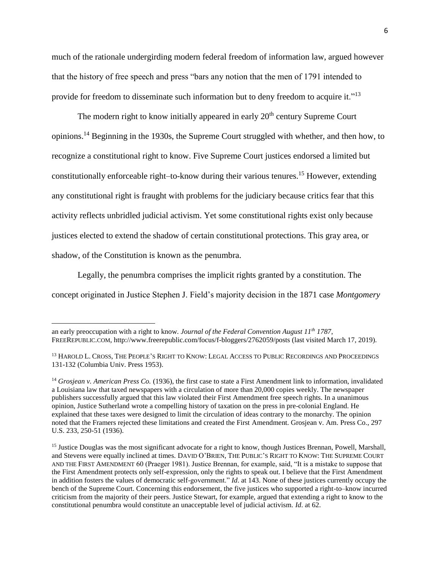much of the rationale undergirding modern federal freedom of information law, argued however that the history of free speech and press "bars any notion that the men of 1791 intended to provide for freedom to disseminate such information but to deny freedom to acquire it."<sup>13</sup>

The modern right to know initially appeared in early  $20<sup>th</sup>$  century Supreme Court opinions.<sup>14</sup> Beginning in the 1930s, the Supreme Court struggled with whether, and then how, to recognize a constitutional right to know. Five Supreme Court justices endorsed a limited but constitutionally enforceable right–to-know during their various tenures.<sup>15</sup> However, extending any constitutional right is fraught with problems for the judiciary because critics fear that this activity reflects unbridled judicial activism. Yet some constitutional rights exist only because justices elected to extend the shadow of certain constitutional protections. This gray area, or shadow, of the Constitution is known as the penumbra.

Legally, the penumbra comprises the implicit rights granted by a constitution. The concept originated in Justice Stephen J. Field's majority decision in the 1871 case *Montgomery* 

l

an early preoccupation with a right to know. *Journal of the Federal Convention August 11th 1787*, FREEREPUBLIC.COM, http://www.freerepublic.com/focus/f-bloggers/2762059/posts (last visited March 17, 2019).

<sup>&</sup>lt;sup>13</sup> HAROLD L. CROSS, THE PEOPLE'S RIGHT TO KNOW: LEGAL ACCESS TO PUBLIC RECORDINGS AND PROCEEDINGS 131-132 (Columbia Univ. Press 1953).

<sup>14</sup> *Grosjean v. American Press Co.* (1936), the first case to state a First Amendment link to information, invalidated a Louisiana law that taxed newspapers with a circulation of more than 20,000 copies weekly. The newspaper publishers successfully argued that this law violated their First Amendment free speech rights. In a unanimous opinion, Justice Sutherland wrote a compelling history of taxation on the press in pre-colonial England. He explained that these taxes were designed to limit the circulation of ideas contrary to the monarchy. The opinion noted that the Framers rejected these limitations and created the First Amendment. Grosjean v. Am. Press Co., 297 U.S. 233, 250-51 (1936).

<sup>&</sup>lt;sup>15</sup> Justice Douglas was the most significant advocate for a right to know, though Justices Brennan, Powell, Marshall, and Stevens were equally inclined at times. DAVID O'BRIEN, THE PUBLIC'S RIGHT TO KNOW: THE SUPREME COURT AND THE FIRST AMENDMENT 60 (Praeger 1981). Justice Brennan, for example, said, "It is a mistake to suppose that the First Amendment protects only self-expression, only the rights to speak out. I believe that the First Amendment in addition fosters the values of democratic self-government." *Id*. at 143. None of these justices currently occupy the bench of the Supreme Court. Concerning this endorsement, the five justices who supported a right-to–know incurred criticism from the majority of their peers. Justice Stewart, for example, argued that extending a right to know to the constitutional penumbra would constitute an unacceptable level of judicial activism. *Id*. at 62.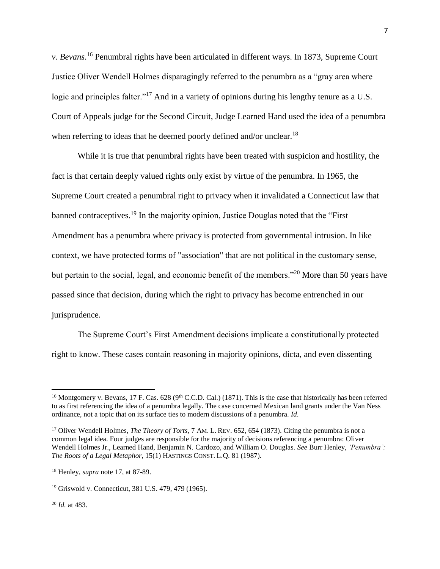<span id="page-6-0"></span>*v. Bevans*. <sup>16</sup> Penumbral rights have been articulated in different ways. In 1873, Supreme Court Justice Oliver Wendell Holmes disparagingly referred to the penumbra as a "gray area where logic and principles falter."<sup>17</sup> And in a variety of opinions during his lengthy tenure as a U.S. Court of Appeals judge for the Second Circuit, Judge Learned Hand used the idea of a penumbra when referring to ideas that he deemed poorly defined and/or unclear.<sup>18</sup>

While it is true that penumbral rights have been treated with suspicion and hostility, the fact is that certain deeply valued rights only exist by virtue of the penumbra. In 1965, the Supreme Court created a penumbral right to privacy when it invalidated a Connecticut law that banned contraceptives.<sup>19</sup> In the majority opinion, Justice Douglas noted that the "First" Amendment has a penumbra where privacy is protected from governmental intrusion. In like context, we have protected forms of "association" that are not political in the customary sense, but pertain to the social, legal, and economic benefit of the members."<sup>20</sup> More than 50 years have passed since that decision, during which the right to privacy has become entrenched in our jurisprudence.

The Supreme Court's First Amendment decisions implicate a constitutionally protected right to know. These cases contain reasoning in majority opinions, dicta, and even dissenting

<sup>20</sup> *Id.* at 483.

 $^{16}$  Montgomery v. Bevans, 17 F. Cas. 628 (9<sup>th</sup> C.C.D. Cal.) (1871). This is the case that historically has been referred to as first referencing the idea of a penumbra legally. The case concerned Mexican land grants under the Van Ness ordinance, not a topic that on its surface ties to modern discussions of a penumbra. *Id*.

<sup>&</sup>lt;sup>17</sup> Oliver Wendell Holmes, *The Theory of Torts*, 7 AM. L. REV. 652, 654 (1873). Citing the penumbra is not a common legal idea. Four judges are responsible for the majority of decisions referencing a penumbra: Oliver Wendell Holmes Jr., Learned Hand, Benjamin N. Cardozo, and William O. Douglas. *See* Burr Henley, *'Penumbra': The Roots of a Legal Metaphor*, 15(1) HASTINGS CONST. L.Q. 81 (1987).

<sup>18</sup> Henley, *supra* note [17,](#page-6-0) at 87-89.

<sup>19</sup> Griswold v. Connecticut, 381 U.S. 479, 479 (1965).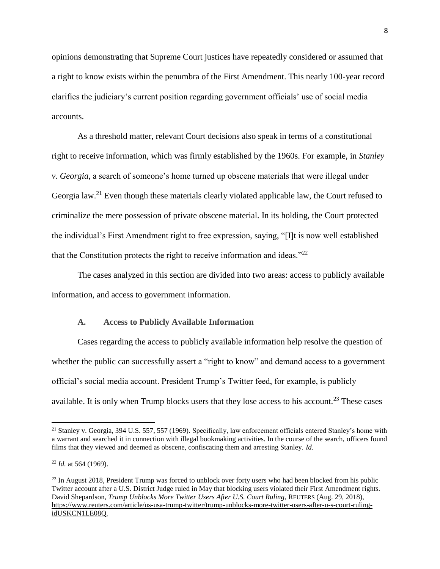opinions demonstrating that Supreme Court justices have repeatedly considered or assumed that a right to know exists within the penumbra of the First Amendment. This nearly 100-year record clarifies the judiciary's current position regarding government officials' use of social media accounts.

<span id="page-7-0"></span>As a threshold matter, relevant Court decisions also speak in terms of a constitutional right to receive information, which was firmly established by the 1960s. For example, in *Stanley v. Georgia*, a search of someone's home turned up obscene materials that were illegal under Georgia law.<sup>21</sup> Even though these materials clearly violated applicable law, the Court refused to criminalize the mere possession of private obscene material. In its holding, the Court protected the individual's First Amendment right to free expression, saying, "[I]t is now well established that the Constitution protects the right to receive information and ideas. $12^2$ 

The cases analyzed in this section are divided into two areas: access to publicly available information, and access to government information.

#### <span id="page-7-1"></span>**A. Access to Publicly Available Information**

Cases regarding the access to publicly available information help resolve the question of whether the public can successfully assert a "right to know" and demand access to a government official's social media account. President Trump's Twitter feed, for example, is publicly available. It is only when Trump blocks users that they lose access to his account.<sup>23</sup> These cases

l

<sup>&</sup>lt;sup>21</sup> Stanley v. Georgia, 394 U.S. 557, 557 (1969). Specifically, law enforcement officials entered Stanley's home with a warrant and searched it in connection with illegal bookmaking activities. In the course of the search, officers found films that they viewed and deemed as obscene, confiscating them and arresting Stanley. *Id*.

<sup>22</sup> *Id.* at 564 (1969).

<sup>&</sup>lt;sup>23</sup> In August 2018, President Trump was forced to unblock over forty users who had been blocked from his public Twitter account after a U.S. District Judge ruled in May that blocking users violated their First Amendment rights. David Shepardson, *Trump Unblocks More Twitter Users After U.S. Court Ruling*, REUTERS (Aug. 29, 2018), [https://www.reuters.com/article/us-usa-trump-twitter/trump-unblocks-more-twitter-users-after-u-s-court-ruling](https://www.reuters.com/article/us-usa-trump-twitter/trump-unblocks-more-twitter-users-after-u-s-court-ruling-idUSKCN1LE08Q)[idUSKCN1LE08Q.](https://www.reuters.com/article/us-usa-trump-twitter/trump-unblocks-more-twitter-users-after-u-s-court-ruling-idUSKCN1LE08Q)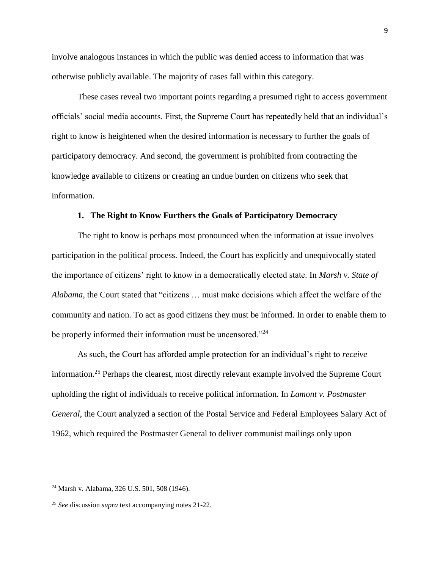involve analogous instances in which the public was denied access to information that was otherwise publicly available. The majority of cases fall within this category.

These cases reveal two important points regarding a presumed right to access government officials' social media accounts. First, the Supreme Court has repeatedly held that an individual's right to know is heightened when the desired information is necessary to further the goals of participatory democracy. And second, the government is prohibited from contracting the knowledge available to citizens or creating an undue burden on citizens who seek that information.

#### **1. The Right to Know Furthers the Goals of Participatory Democracy**

The right to know is perhaps most pronounced when the information at issue involves participation in the political process. Indeed, the Court has explicitly and unequivocally stated the importance of citizens' right to know in a democratically elected state. In *Marsh v. State of Alabama*, the Court stated that "citizens … must make decisions which affect the welfare of the community and nation. To act as good citizens they must be informed. In order to enable them to be properly informed their information must be uncensored."<sup>24</sup>

<span id="page-8-0"></span>As such, the Court has afforded ample protection for an individual's right to *receive* information.<sup>25</sup> Perhaps the clearest, most directly relevant example involved the Supreme Court upholding the right of individuals to receive political information. In *Lamont v. Postmaster General*, the Court analyzed a section of the Postal Service and Federal Employees Salary Act of 1962, which required the Postmaster General to deliver communist mailings only upon

l

<sup>24</sup> Marsh v. Alabama, 326 U.S. 501, 508 (1946).

<sup>25</sup> *See* discussion *supra* text accompanying note[s 21-](#page-7-0)[22.](#page-7-1)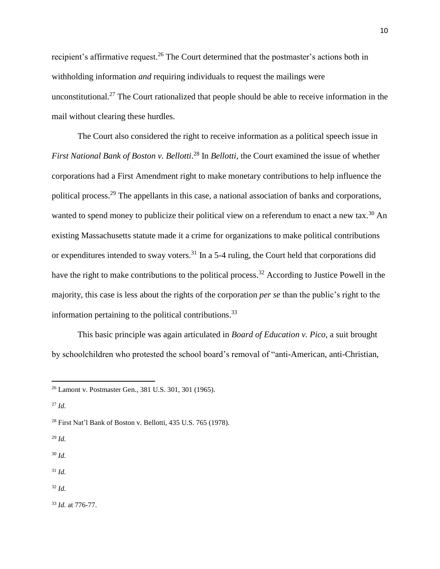recipient's affirmative request.<sup>26</sup> The Court determined that the postmaster's actions both in withholding information *and* requiring individuals to request the mailings were unconstitutional.<sup>27</sup> The Court rationalized that people should be able to receive information in the mail without clearing these hurdles.

The Court also considered the right to receive information as a political speech issue in *First National Bank of Boston v. Bellotti*. <sup>28</sup> In *Bellotti*, the Court examined the issue of whether corporations had a First Amendment right to make monetary contributions to help influence the political process.<sup>29</sup> The appellants in this case, a national association of banks and corporations, wanted to spend money to publicize their political view on a referendum to enact a new tax.<sup>30</sup> An existing Massachusetts statute made it a crime for organizations to make political contributions or expenditures intended to sway voters.<sup>31</sup> In a 5-4 ruling, the Court held that corporations did have the right to make contributions to the political process.<sup>32</sup> According to Justice Powell in the majority, this case is less about the rights of the corporation *per se* than the public's right to the information pertaining to the political contributions.  $33$ 

This basic principle was again articulated in *Board of Education v. Pico*, a suit brought by schoolchildren who protested the school board's removal of "anti-American, anti-Christian,

<sup>27</sup> *Id.*

 $\overline{\phantom{a}}$ 

<sup>29</sup> *Id.*

<sup>30</sup> *Id.*

<sup>31</sup> *Id.*

<sup>32</sup> *Id.*

<sup>33</sup> *Id.* at 776-77.

<sup>26</sup> Lamont v. Postmaster Gen., 381 U.S. 301, 301 (1965).

<sup>28</sup> First Nat'l Bank of Boston v. Bellotti, 435 U.S. 765 (1978).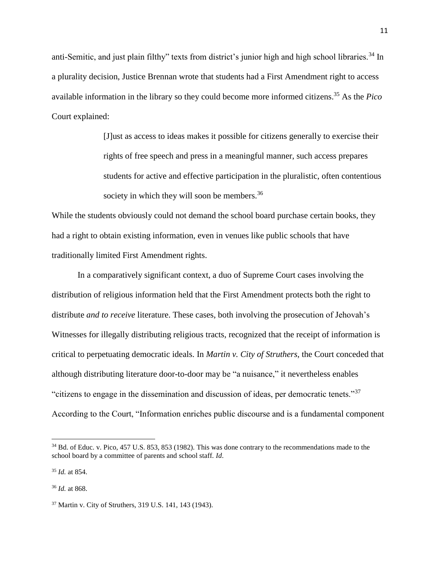anti-Semitic, and just plain filthy" texts from district's junior high and high school libraries.<sup>34</sup> In a plurality decision, Justice Brennan wrote that students had a First Amendment right to access available information in the library so they could become more informed citizens. <sup>35</sup> As the *Pico* Court explained:

> <span id="page-10-1"></span><span id="page-10-0"></span>[J]ust as access to ideas makes it possible for citizens generally to exercise their rights of free speech and press in a meaningful manner, such access prepares students for active and effective participation in the pluralistic, often contentious society in which they will soon be members.<sup>36</sup>

While the students obviously could not demand the school board purchase certain books, they had a right to obtain existing information, even in venues like public schools that have traditionally limited First Amendment rights.

In a comparatively significant context, a duo of Supreme Court cases involving the distribution of religious information held that the First Amendment protects both the right to distribute *and to receive* literature. These cases, both involving the prosecution of Jehovah's Witnesses for illegally distributing religious tracts, recognized that the receipt of information is critical to perpetuating democratic ideals. In *Martin v. City of Struthers*, the Court conceded that although distributing literature door-to-door may be "a nuisance," it nevertheless enables "citizens to engage in the dissemination and discussion of ideas, per democratic tenets."<sup>37</sup> According to the Court, "Information enriches public discourse and is a fundamental component

<sup>&</sup>lt;sup>34</sup> Bd. of Educ. v. Pico, 457 U.S. 853, 853 (1982). This was done contrary to the recommendations made to the school board by a committee of parents and school staff. *Id*.

<sup>35</sup> *Id.* at 854.

<sup>36</sup> *Id.* at 868.

<sup>37</sup> Martin v. City of Struthers, 319 U.S. 141, 143 (1943).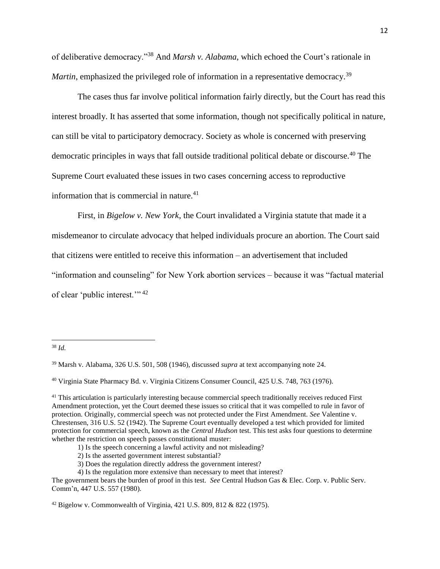of deliberative democracy."<sup>38</sup> And *Marsh v. Alabama*, which echoed the Court's rationale in *Martin*, emphasized the privileged role of information in a representative democracy.<sup>39</sup>

The cases thus far involve political information fairly directly, but the Court has read this interest broadly. It has asserted that some information, though not specifically political in nature, can still be vital to participatory democracy. Society as whole is concerned with preserving democratic principles in ways that fall outside traditional political debate or discourse.<sup>40</sup> The Supreme Court evaluated these issues in two cases concerning access to reproductive information that is commercial in nature.<sup>41</sup>

First, in *Bigelow v. New York*, the Court invalidated a Virginia statute that made it a misdemeanor to circulate advocacy that helped individuals procure an abortion. The Court said that citizens were entitled to receive this information – an advertisement that included "information and counseling" for New York abortion services – because it was "factual material of clear 'public interest."<sup>42</sup>

<sup>38</sup> *Id.*

<sup>39</sup> Marsh v. Alabama, 326 U.S. 501, 508 (1946), discussed *supra* at text accompanying note [24.](#page-8-0)

<sup>40</sup> Virginia State Pharmacy Bd. v. Virginia Citizens Consumer Council, 425 U.S. 748, 763 (1976).

<sup>&</sup>lt;sup>41</sup> This articulation is particularly interesting because commercial speech traditionally receives reduced First Amendment protection, yet the Court deemed these issues so critical that it was compelled to rule in favor of protection. Originally, commercial speech was not protected under the First Amendment. *See* Valentine v. Chrestensen, 316 U.S. 52 (1942). The Supreme Court eventually developed a test which provided for limited protection for commercial speech, known as the *Central Hudson* test. This test asks four questions to determine whether the restriction on speech passes constitutional muster:

<sup>1)</sup> Is the speech concerning a lawful activity and not misleading?

<sup>2)</sup> Is the asserted government interest substantial?

<sup>3)</sup> Does the regulation directly address the government interest?

<sup>4)</sup> Is the regulation more extensive than necessary to meet that interest?

The government bears the burden of proof in this test. *See* Central Hudson Gas & Elec. Corp. v. Public Serv. Comm'n, 447 U.S. 557 (1980).

<sup>42</sup> Bigelow v. Commonwealth of Virginia, 421 U.S. 809, 812 & 822 (1975).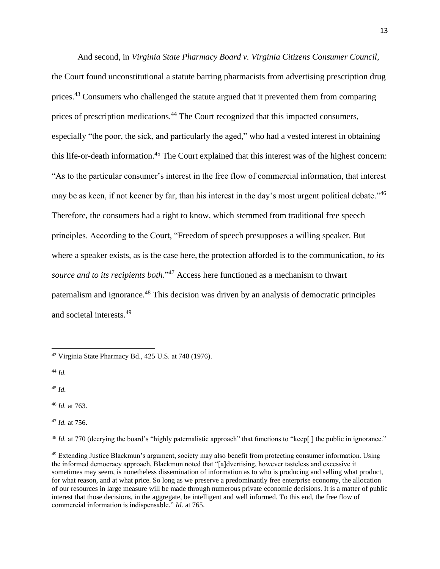And second, in *Virginia State Pharmacy Board v. Virginia Citizens Consumer Council*, the Court found unconstitutional a statute barring pharmacists from advertising prescription drug prices.<sup>43</sup> Consumers who challenged the statute argued that it prevented them from comparing prices of prescription medications.<sup>44</sup> The Court recognized that this impacted consumers, especially "the poor, the sick, and particularly the aged," who had a vested interest in obtaining this life-or-death information. <sup>45</sup> The Court explained that this interest was of the highest concern: "As to the particular consumer's interest in the free flow of commercial information, that interest may be as keen, if not keener by far, than his interest in the day's most urgent political debate."<sup>46</sup> Therefore, the consumers had a right to know, which stemmed from traditional free speech principles. According to the Court, "Freedom of speech presupposes a willing speaker. But where a speaker exists, as is the case here, the protection afforded is to the communication, *to its source and to its recipients both*." <sup>47</sup> Access here functioned as a mechanism to thwart paternalism and ignorance.<sup>48</sup> This decision was driven by an analysis of democratic principles and societal interests. 49

<sup>44</sup> *Id.*

 $\overline{a}$ 

<sup>45</sup> *Id.*

<sup>46</sup> *Id.* at 763.

<sup>47</sup> *Id.* at 756.

<sup>48</sup> *Id.* at 770 (decrying the board's "highly paternalistic approach" that functions to "keep[] the public in ignorance."

<sup>43</sup> Virginia State Pharmacy Bd., 425 U.S. at 748 (1976).

<sup>&</sup>lt;sup>49</sup> Extending Justice Blackmun's argument, society may also benefit from protecting consumer information. Using the informed democracy approach, Blackmun noted that "[a]dvertising, however tasteless and excessive it sometimes may seem, is nonetheless dissemination of information as to who is producing and selling what product, for what reason, and at what price. So long as we preserve a predominantly free enterprise economy, the allocation of our resources in large measure will be made through numerous private economic decisions. It is a matter of public interest that those decisions, in the aggregate, be intelligent and well informed. To this end, the free flow of commercial information is indispensable." *Id.* at 765.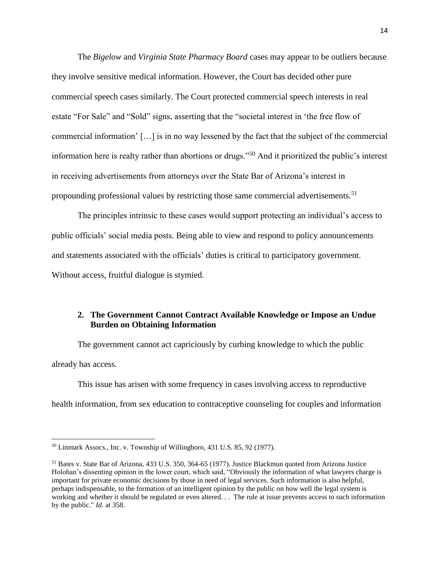The *Bigelow* and *Virginia State Pharmacy Board* cases may appear to be outliers because they involve sensitive medical information. However, the Court has decided other pure commercial speech cases similarly. The Court protected commercial speech interests in real estate "For Sale" and "Sold" signs, asserting that the "societal interest in 'the free flow of commercial information' […] is in no way lessened by the fact that the subject of the commercial information here is realty rather than abortions or drugs."<sup>50</sup> And it prioritized the public's interest in receiving advertisements from attorneys over the State Bar of Arizona's interest in propounding professional values by restricting those same commercial advertisements.<sup>51</sup>

The principles intrinsic to these cases would support protecting an individual's access to public officials' social media posts. Being able to view and respond to policy announcements and statements associated with the officials' duties is critical to participatory government. Without access, fruitful dialogue is stymied.

### **2. The Government Cannot Contract Available Knowledge or Impose an Undue Burden on Obtaining Information**

The government cannot act capriciously by curbing knowledge to which the public already has access.

This issue has arisen with some frequency in cases involving access to reproductive health information, from sex education to contraceptive counseling for couples and information

<sup>50</sup> Linmark Assocs., Inc. v. Township of Willingboro, 431 U.S. 85, 92 (1977).

<sup>51</sup> Bates v. State Bar of Arizona, 433 U.S. 350, 364-65 (1977). Justice Blackmun quoted from Arizona Justice Holohan's dissenting opinion in the lower court, which said, "Obviously the information of what lawyers charge is important for private economic decisions by those in need of legal services. Such information is also helpful, perhaps indispensable, to the formation of an intelligent opinion by the public on how well the legal system is working and whether it should be regulated or even altered. . . The rule at issue prevents access to such information by the public." *Id*. at 358.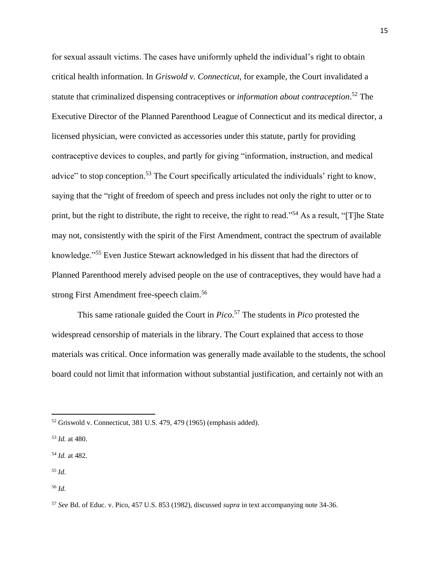for sexual assault victims. The cases have uniformly upheld the individual's right to obtain critical health information. In *Griswold v. Connecticut*, for example, the Court invalidated a statute that criminalized dispensing contraceptives or *information about contraception*. <sup>52</sup> The Executive Director of the Planned Parenthood League of Connecticut and its medical director, a licensed physician, were convicted as accessories under this statute, partly for providing contraceptive devices to couples, and partly for giving "information, instruction, and medical advice" to stop conception.<sup>53</sup> The Court specifically articulated the individuals' right to know, saying that the "right of freedom of speech and press includes not only the right to utter or to print, but the right to distribute, the right to receive, the right to read."<sup>54</sup> As a result, "[T]he State may not, consistently with the spirit of the First Amendment, contract the spectrum of available knowledge."<sup>55</sup> Even Justice Stewart acknowledged in his dissent that had the directors of Planned Parenthood merely advised people on the use of contraceptives, they would have had a strong First Amendment free-speech claim.<sup>56</sup>

This same rationale guided the Court in *Pico*. <sup>57</sup> The students in *Pico* protested the widespread censorship of materials in the library. The Court explained that access to those materials was critical. Once information was generally made available to the students, the school board could not limit that information without substantial justification, and certainly not with an

<sup>55</sup> *Id.*

 $\overline{\phantom{a}}$ 

<sup>56</sup> *Id.*

<sup>52</sup> Griswold v. Connecticut, 381 U.S. 479, 479 (1965) (emphasis added).

<sup>53</sup> *Id.* at 480.

<sup>54</sup> *Id.* at 482.

<sup>57</sup> *See* Bd. of Educ. v. Pico, 457 U.S. 853 (1982), discussed *supra* in text accompanying note [34-](#page-10-0)[36.](#page-10-1)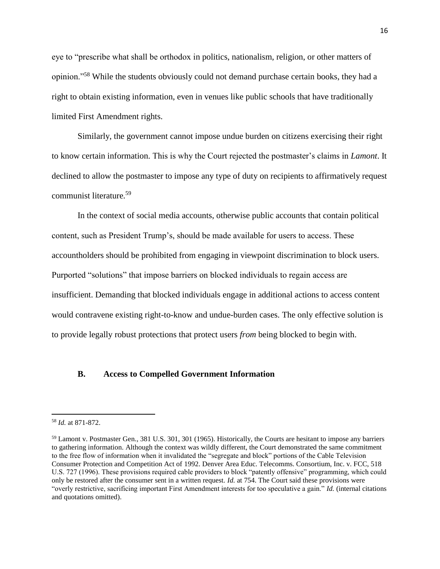eye to "prescribe what shall be orthodox in politics, nationalism, religion, or other matters of opinion."<sup>58</sup> While the students obviously could not demand purchase certain books, they had a right to obtain existing information, even in venues like public schools that have traditionally limited First Amendment rights.

Similarly, the government cannot impose undue burden on citizens exercising their right to know certain information. This is why the Court rejected the postmaster's claims in *Lamont*. It declined to allow the postmaster to impose any type of duty on recipients to affirmatively request communist literature.<sup>59</sup>

In the context of social media accounts, otherwise public accounts that contain political content, such as President Trump's, should be made available for users to access. These accountholders should be prohibited from engaging in viewpoint discrimination to block users. Purported "solutions" that impose barriers on blocked individuals to regain access are insufficient. Demanding that blocked individuals engage in additional actions to access content would contravene existing right-to-know and undue-burden cases. The only effective solution is to provide legally robust protections that protect users *from* being blocked to begin with.

#### **B. Access to Compelled Government Information**

<sup>58</sup> *Id.* at 871-872.

<sup>59</sup> Lamont v. Postmaster Gen., 381 U.S. 301, 301 (1965). Historically, the Courts are hesitant to impose any barriers to gathering information. Although the context was wildly different, the Court demonstrated the same commitment to the free flow of information when it invalidated the "segregate and block" portions of the Cable Television Consumer Protection and Competition Act of 1992. Denver Area Educ. Telecomms. Consortium, Inc. v. FCC, 518 U.S. 727 (1996). These provisions required cable providers to block "patently offensive" programming, which could only be restored after the consumer sent in a written request. *Id.* at 754. The Court said these provisions were "overly restrictive, sacrificing important First Amendment interests for too speculative a gain." *Id.* (internal citations and quotations omitted).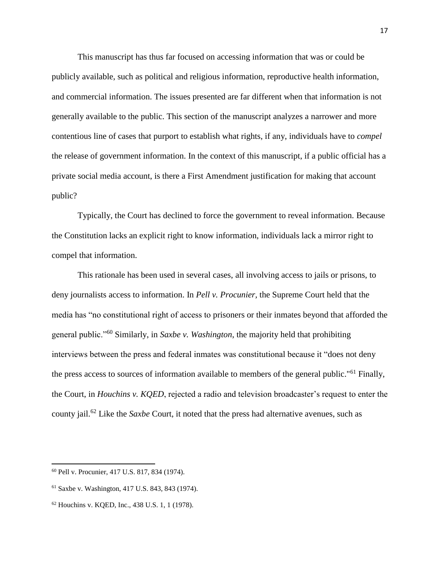This manuscript has thus far focused on accessing information that was or could be publicly available, such as political and religious information, reproductive health information, and commercial information. The issues presented are far different when that information is not generally available to the public. This section of the manuscript analyzes a narrower and more contentious line of cases that purport to establish what rights, if any, individuals have to *compel* the release of government information. In the context of this manuscript, if a public official has a private social media account, is there a First Amendment justification for making that account public?

Typically, the Court has declined to force the government to reveal information. Because the Constitution lacks an explicit right to know information, individuals lack a mirror right to compel that information.

This rationale has been used in several cases, all involving access to jails or prisons, to deny journalists access to information. In *Pell v. Procunier,* the Supreme Court held that the media has "no constitutional right of access to prisoners or their inmates beyond that afforded the general public."<sup>60</sup> Similarly, in *Saxbe v. Washington*, the majority held that prohibiting interviews between the press and federal inmates was constitutional because it "does not deny the press access to sources of information available to members of the general public."<sup>61</sup> Finally, the Court, in *Houchins v. KQED*, rejected a radio and television broadcaster's request to enter the county jail.<sup>62</sup> Like the *Saxbe* Court, it noted that the press had alternative avenues, such as

<sup>60</sup> Pell v. Procunier, 417 U.S. 817, 834 (1974).

<sup>61</sup> Saxbe v. Washington, 417 U.S. 843, 843 (1974).

<sup>62</sup> Houchins v. KQED, Inc., 438 U.S. 1, 1 (1978).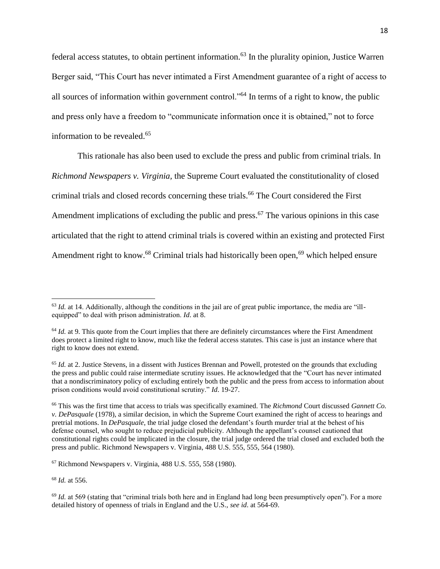federal access statutes, to obtain pertinent information.<sup>63</sup> In the plurality opinion, Justice Warren Berger said, "This Court has never intimated a First Amendment guarantee of a right of access to all sources of information within government control."<sup>64</sup> In terms of a right to know, the public and press only have a freedom to "communicate information once it is obtained," not to force information to be revealed.<sup>65</sup>

This rationale has also been used to exclude the press and public from criminal trials. In *Richmond Newspapers v. Virginia,* the Supreme Court evaluated the constitutionality of closed criminal trials and closed records concerning these trials.<sup>66</sup> The Court considered the First Amendment implications of excluding the public and press.<sup>67</sup> The various opinions in this case articulated that the right to attend criminal trials is covered within an existing and protected First Amendment right to know.<sup>68</sup> Criminal trials had historically been open,<sup>69</sup> which helped ensure

<sup>68</sup> *Id.* at 556.

l

 $63$  *Id.* at 14. Additionally, although the conditions in the jail are of great public importance, the media are "illequipped" to deal with prison administration. *Id*. at 8.

<sup>&</sup>lt;sup>64</sup> *Id.* at 9. This quote from the Court implies that there are definitely circumstances where the First Amendment does protect a limited right to know, much like the federal access statutes. This case is just an instance where that right to know does not extend.

<sup>&</sup>lt;sup>65</sup> *Id.* at 2. Justice Stevens, in a dissent with Justices Brennan and Powell, protested on the grounds that excluding the press and public could raise intermediate scrutiny issues. He acknowledged that the "Court has never intimated that a nondiscriminatory policy of excluding entirely both the public and the press from access to information about prison conditions would avoid constitutional scrutiny." *Id*. 19-27.

<sup>66</sup> This was the first time that access to trials was specifically examined. The *Richmond* Court discussed *Gannett Co. v. DePasquale* (1978), a similar decision, in which the Supreme Court examined the right of access to hearings and pretrial motions. In *DePasquale*, the trial judge closed the defendant's fourth murder trial at the behest of his defense counsel, who sought to reduce prejudicial publicity. Although the appellant's counsel cautioned that constitutional rights could be implicated in the closure, the trial judge ordered the trial closed and excluded both the press and public. Richmond Newspapers v. Virginia, 488 U.S. 555, 555, 564 (1980).

 $67$  Richmond Newspapers v. Virginia, 488 U.S. 555, 558 (1980).

<sup>&</sup>lt;sup>69</sup> *Id.* at 569 (stating that "criminal trials both here and in England had long been presumptively open"). For a more detailed history of openness of trials in England and the U.S., *see id*. at 564-69.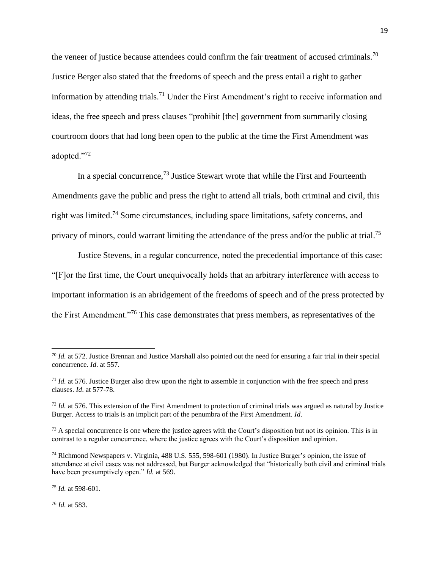the veneer of justice because attendees could confirm the fair treatment of accused criminals.<sup>70</sup> Justice Berger also stated that the freedoms of speech and the press entail a right to gather information by attending trials.<sup>71</sup> Under the First Amendment's right to receive information and ideas, the free speech and press clauses "prohibit [the] government from summarily closing courtroom doors that had long been open to the public at the time the First Amendment was adopted."<sup>72</sup>

In a special concurrence,  $^{73}$  Justice Stewart wrote that while the First and Fourteenth Amendments gave the public and press the right to attend all trials, both criminal and civil, this right was limited.<sup>74</sup> Some circumstances, including space limitations, safety concerns, and privacy of minors, could warrant limiting the attendance of the press and/or the public at trial.<sup>75</sup>

Justice Stevens, in a regular concurrence, noted the precedential importance of this case: "[F]or the first time, the Court unequivocally holds that an arbitrary interference with access to important information is an abridgement of the freedoms of speech and of the press protected by the First Amendment."<sup>76</sup> This case demonstrates that press members, as representatives of the

<sup>75</sup> *Id.* at 598-601.

<sup>76</sup> *Id.* at 583.

 $\overline{a}$ 

<sup>70</sup> *Id.* at 572. Justice Brennan and Justice Marshall also pointed out the need for ensuring a fair trial in their special concurrence. *Id*. at 557.

<sup>71</sup> *Id.* at 576. Justice Burger also drew upon the right to assemble in conjunction with the free speech and press clauses. *Id*. at 577-78.

<sup>72</sup> *Id.* at 576. This extension of the First Amendment to protection of criminal trials was argued as natural by Justice Burger. Access to trials is an implicit part of the penumbra of the First Amendment. *Id*.

 $<sup>73</sup>$  A special concurrence is one where the justice agrees with the Court's disposition but not its opinion. This is in</sup> contrast to a regular concurrence, where the justice agrees with the Court's disposition and opinion.

<sup>74</sup> Richmond Newspapers v. Virginia, 488 U.S. 555, 598-601 (1980). In Justice Burger's opinion, the issue of attendance at civil cases was not addressed, but Burger acknowledged that "historically both civil and criminal trials have been presumptively open." *Id.* at 569.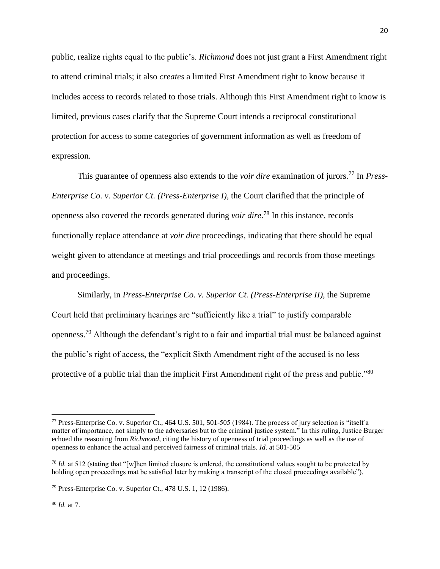public, realize rights equal to the public's. *Richmond* does not just grant a First Amendment right to attend criminal trials; it also *creates* a limited First Amendment right to know because it includes access to records related to those trials. Although this First Amendment right to know is limited, previous cases clarify that the Supreme Court intends a reciprocal constitutional protection for access to some categories of government information as well as freedom of expression.

This guarantee of openness also extends to the *voir dire* examination of jurors.<sup>77</sup> In *Press-Enterprise Co. v. Superior Ct. (Press-Enterprise I),* the Court clarified that the principle of openness also covered the records generated during *voir dire*. <sup>78</sup> In this instance, records functionally replace attendance at *voir dire* proceedings, indicating that there should be equal weight given to attendance at meetings and trial proceedings and records from those meetings and proceedings.

Similarly, in *Press-Enterprise Co. v. Superior Ct. (Press-Enterprise II)*, the Supreme Court held that preliminary hearings are "sufficiently like a trial" to justify comparable openness.<sup>79</sup> Although the defendant's right to a fair and impartial trial must be balanced against the public's right of access, the "explicit Sixth Amendment right of the accused is no less protective of a public trial than the implicit First Amendment right of the press and public."<sup>80</sup>

<sup>77</sup> Press-Enterprise Co. v. Superior Ct., 464 U.S. 501, 501-505 (1984). The process of jury selection is "itself a matter of importance, not simply to the adversaries but to the criminal justice system." In this ruling, Justice Burger echoed the reasoning from *Richmond*, citing the history of openness of trial proceedings as well as the use of openness to enhance the actual and perceived fairness of criminal trials. *Id*. at 501-505

<sup>78</sup> *Id.* at 512 (stating that "[w]hen limited closure is ordered, the constitutional values sought to be protected by holding open proceedings mat be satisfied later by making a transcript of the closed proceedings available").

<sup>79</sup> Press-Enterprise Co. v. Superior Ct., 478 U.S. 1, 12 (1986).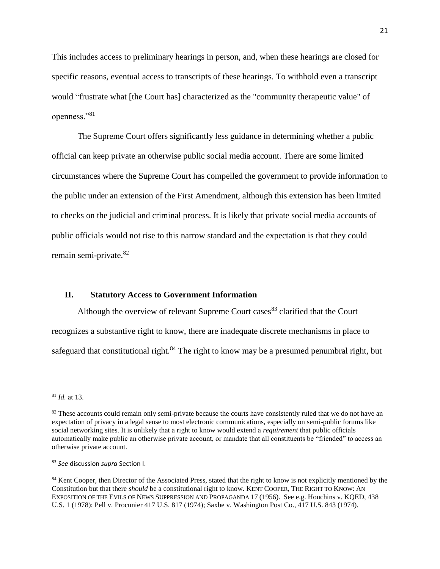This includes access to preliminary hearings in person, and, when these hearings are closed for specific reasons, eventual access to transcripts of these hearings. To withhold even a transcript would "frustrate what [the Court has] characterized as the "community therapeutic value" of openness."<sup>81</sup>

The Supreme Court offers significantly less guidance in determining whether a public official can keep private an otherwise public social media account. There are some limited circumstances where the Supreme Court has compelled the government to provide information to the public under an extension of the First Amendment, although this extension has been limited to checks on the judicial and criminal process. It is likely that private social media accounts of public officials would not rise to this narrow standard and the expectation is that they could remain semi-private.<sup>82</sup>

#### **II. Statutory Access to Government Information**

Although the overview of relevant Supreme Court cases  $83$  clarified that the Court recognizes a substantive right to know, there are inadequate discrete mechanisms in place to safeguard that constitutional right.<sup>84</sup> The right to know may be a presumed penumbral right, but

<sup>81</sup> *Id.* at 13.

 $82$  These accounts could remain only semi-private because the courts have consistently ruled that we do not have an expectation of privacy in a legal sense to most electronic communications, especially on semi-public forums like social networking sites. It is unlikely that a right to know would extend a *requirement* that public officials automatically make public an otherwise private account, or mandate that all constituents be "friended" to access an otherwise private account.

<sup>83</sup> *See* discussion *supra* Section I.

<sup>&</sup>lt;sup>84</sup> Kent Cooper, then Director of the Associated Press, stated that the right to know is not explicitly mentioned by the Constitution but that there *should* be a constitutional right to know. KENT COOPER, THE RIGHT TO KNOW: AN EXPOSITION OF THE EVILS OF NEWS SUPPRESSION AND PROPAGANDA 17 (1956). See e.g. Houchins v. KQED, 438 U.S. 1 (1978); Pell v. Procunier 417 U.S. 817 (1974); Saxbe v. Washington Post Co., 417 U.S. 843 (1974).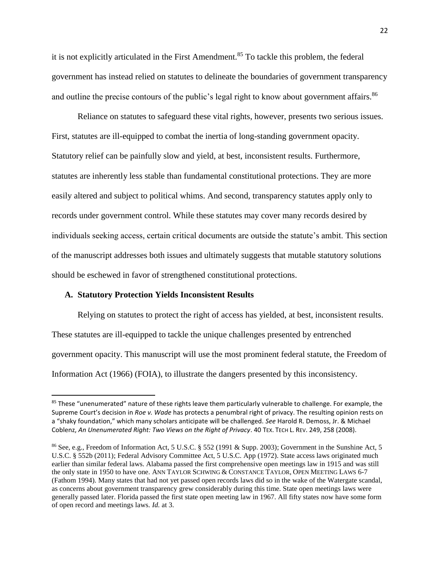it is not explicitly articulated in the First Amendment.<sup>85</sup> To tackle this problem, the federal government has instead relied on statutes to delineate the boundaries of government transparency and outline the precise contours of the public's legal right to know about government affairs.<sup>86</sup>

Reliance on statutes to safeguard these vital rights, however, presents two serious issues. First, statutes are ill-equipped to combat the inertia of long-standing government opacity. Statutory relief can be painfully slow and yield, at best, inconsistent results. Furthermore, statutes are inherently less stable than fundamental constitutional protections. They are more easily altered and subject to political whims. And second, transparency statutes apply only to records under government control. While these statutes may cover many records desired by individuals seeking access, certain critical documents are outside the statute's ambit. This section of the manuscript addresses both issues and ultimately suggests that mutable statutory solutions should be eschewed in favor of strengthened constitutional protections.

#### **A. Statutory Protection Yields Inconsistent Results**

 $\overline{\phantom{a}}$ 

Relying on statutes to protect the right of access has yielded, at best, inconsistent results. These statutes are ill-equipped to tackle the unique challenges presented by entrenched government opacity. This manuscript will use the most prominent federal statute, the Freedom of Information Act (1966) (FOIA), to illustrate the dangers presented by this inconsistency.

<sup>85</sup> These "unenumerated" nature of these rights leave them particularly vulnerable to challenge. For example, the Supreme Court's decision in *Roe v. Wade* has protects a penumbral right of privacy. The resulting opinion rests on a "shaky foundation," which many scholars anticipate will be challenged. *See* Harold R. Demoss, Jr. & Michael Coblenz, *An Unenumerated Right: Two Views on the Right of Privacy*. 40 TEX. TECH L. REV. 249, 258 (2008).

<sup>86</sup> See, e.g., Freedom of Information Act, 5 U.S.C. § 552 (1991 & Supp. 2003); Government in the Sunshine Act, 5 U.S.C. § 552b (2011); Federal Advisory Committee Act, 5 U.S.C. App (1972). State access laws originated much earlier than similar federal laws. Alabama passed the first comprehensive open meetings law in 1915 and was still the only state in 1950 to have one. ANN TAYLOR SCHWING & CONSTANCE TAYLOR, OPEN MEETING LAWS 6-7 (Fathom 1994). Many states that had not yet passed open records laws did so in the wake of the Watergate scandal, as concerns about government transparency grew considerably during this time. State open meetings laws were generally passed later. Florida passed the first state open meeting law in 1967. All fifty states now have some form of open record and meetings laws. *Id.* at 3.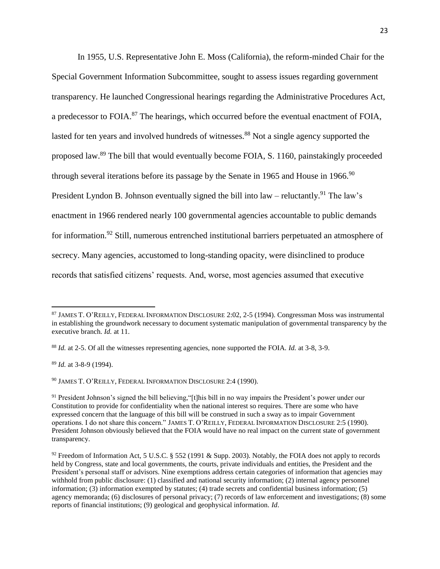In 1955, U.S. Representative John E. Moss (California), the reform-minded Chair for the Special Government Information Subcommittee, sought to assess issues regarding government transparency. He launched Congressional hearings regarding the Administrative Procedures Act, a predecessor to FOIA.<sup>87</sup> The hearings, which occurred before the eventual enactment of FOIA, lasted for ten years and involved hundreds of witnesses.<sup>88</sup> Not a single agency supported the proposed law.<sup>89</sup> The bill that would eventually become FOIA, S. 1160, painstakingly proceeded through several iterations before its passage by the Senate in 1965 and House in 1966.<sup>90</sup> President Lyndon B. Johnson eventually signed the bill into law – reluctantly.<sup>91</sup> The law's enactment in 1966 rendered nearly 100 governmental agencies accountable to public demands for information.<sup>92</sup> Still, numerous entrenched institutional barriers perpetuated an atmosphere of secrecy. Many agencies, accustomed to long-standing opacity, were disinclined to produce records that satisfied citizens' requests. And, worse, most agencies assumed that executive

<sup>89</sup> *Id.* at 3-8-9 (1994).

 $\overline{\phantom{a}}$ 

<sup>90</sup> JAMES T. O'REILLY, FEDERAL INFORMATION DISCLOSURE 2:4 (1990).

<sup>87</sup> JAMES T. O'REILLY, FEDERAL INFORMATION DISCLOSURE 2:02, 2-5 (1994). Congressman Moss was instrumental in establishing the groundwork necessary to document systematic manipulation of governmental transparency by the executive branch. *Id.* at 11.

<sup>88</sup> *Id.* at 2-5. Of all the witnesses representing agencies, none supported the FOIA. *Id.* at 3-8, 3-9.

<sup>&</sup>lt;sup>91</sup> President Johnson's signed the bill believing, "[t]his bill in no way impairs the President's power under our Constitution to provide for confidentiality when the national interest so requires. There are some who have expressed concern that the language of this bill will be construed in such a sway as to impair Government operations. I do not share this concern." JAMES T. O'REILLY, FEDERAL INFORMATION DISCLOSURE 2:5 (1990). President Johnson obviously believed that the FOIA would have no real impact on the current state of government transparency.

<sup>&</sup>lt;sup>92</sup> Freedom of Information Act, 5 U.S.C. § 552 (1991 & Supp. 2003). Notably, the FOIA does not apply to records held by Congress, state and local governments, the courts, private individuals and entities, the President and the President's personal staff or advisors. Nine exemptions address certain categories of information that agencies may withhold from public disclosure: (1) classified and national security information; (2) internal agency personnel information; (3) information exempted by statutes; (4) trade secrets and confidential business information; (5) agency memoranda; (6) disclosures of personal privacy; (7) records of law enforcement and investigations; (8) some reports of financial institutions; (9) geological and geophysical information. *Id*.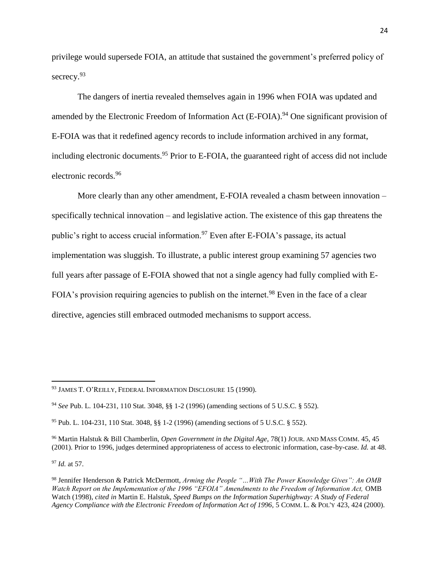privilege would supersede FOIA, an attitude that sustained the government's preferred policy of secrecy.<sup>93</sup>

The dangers of inertia revealed themselves again in 1996 when FOIA was updated and amended by the Electronic Freedom of Information Act  $(E-FOLA)$ <sup>94</sup> One significant provision of E-FOIA was that it redefined agency records to include information archived in any format, including electronic documents.<sup>95</sup> Prior to E-FOIA, the guaranteed right of access did not include electronic records.<sup>96</sup>

More clearly than any other amendment, E-FOIA revealed a chasm between innovation – specifically technical innovation – and legislative action. The existence of this gap threatens the public's right to access crucial information.<sup>97</sup> Even after E-FOIA's passage, its actual implementation was sluggish. To illustrate, a public interest group examining 57 agencies two full years after passage of E-FOIA showed that not a single agency had fully complied with E-FOIA's provision requiring agencies to publish on the internet.<sup>98</sup> Even in the face of a clear directive, agencies still embraced outmoded mechanisms to support access.

<sup>97</sup> *Id.* at 57.

<sup>93</sup> JAMES T. O'REILLY, FEDERAL INFORMATION DISCLOSURE 15 (1990).

<sup>94</sup> *See* Pub. L. 104-231, 110 Stat. 3048, §§ 1-2 (1996) (amending sections of 5 U.S.C. § 552).

<sup>95</sup> Pub. L. 104-231, 110 Stat. 3048, §§ 1-2 (1996) (amending sections of 5 U.S.C. § 552).

<sup>96</sup> Martin Halstuk & Bill Chamberlin, *Open Government in the Digital Age,* 78(1) JOUR. AND MASS COMM. 45, 45 (2001). Prior to 1996, judges determined appropriateness of access to electronic information, case-by-case. *Id.* at 48.

<sup>98</sup> Jennifer Henderson & Patrick McDermott, *Arming the People "…With The Power Knowledge Gives": An OMB Watch Report on the Implementation of the 1996 "EFOIA" Amendments to the Freedom of Information Act,* OMB Watch (1998), *cited in* Martin E. Halstuk, *Speed Bumps on the Information Superhighway: A Study of Federal Agency Compliance with the Electronic Freedom of Information Act of 1996,* 5 COMM. L. & POL'Y 423, 424 (2000).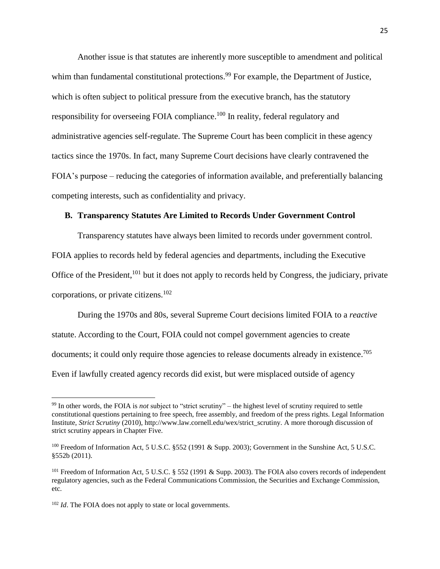Another issue is that statutes are inherently more susceptible to amendment and political whim than fundamental constitutional protections.<sup>99</sup> For example, the Department of Justice, which is often subject to political pressure from the executive branch, has the statutory responsibility for overseeing FOIA compliance.<sup>100</sup> In reality, federal regulatory and administrative agencies self-regulate. The Supreme Court has been complicit in these agency tactics since the 1970s. In fact, many Supreme Court decisions have clearly contravened the FOIA's purpose – reducing the categories of information available, and preferentially balancing competing interests, such as confidentiality and privacy.

#### **B. Transparency Statutes Are Limited to Records Under Government Control**

Transparency statutes have always been limited to records under government control. FOIA applies to records held by federal agencies and departments, including the Executive Office of the President, <sup>101</sup> but it does not apply to records held by Congress, the judiciary, private corporations, or private citizens.<sup>102</sup>

During the 1970s and 80s, several Supreme Court decisions limited FOIA to a *reactive* statute. According to the Court, FOIA could not compel government agencies to create documents; it could only require those agencies to release documents already in existence.<sup>705</sup> Even if lawfully created agency records did exist, but were misplaced outside of agency

 $\overline{a}$ 

<sup>99</sup> In other words, the FOIA is *not* subject to "strict scrutiny" – the highest level of scrutiny required to settle constitutional questions pertaining to free speech, free assembly, and freedom of the press rights. Legal Information Institute, *Strict Scrutiny* (2010), http://www.law.cornell.edu/wex/strict\_scrutiny. A more thorough discussion of strict scrutiny appears in Chapter Five.

<sup>&</sup>lt;sup>100</sup> Freedom of Information Act, 5 U.S.C. §552 (1991 & Supp. 2003); Government in the Sunshine Act, 5 U.S.C. §552b (2011).

<sup>&</sup>lt;sup>101</sup> Freedom of Information Act, 5 U.S.C. § 552 (1991 & Supp. 2003). The FOIA also covers records of independent regulatory agencies, such as the Federal Communications Commission, the Securities and Exchange Commission, etc.

<sup>&</sup>lt;sup>102</sup> *Id*. The FOIA does not apply to state or local governments.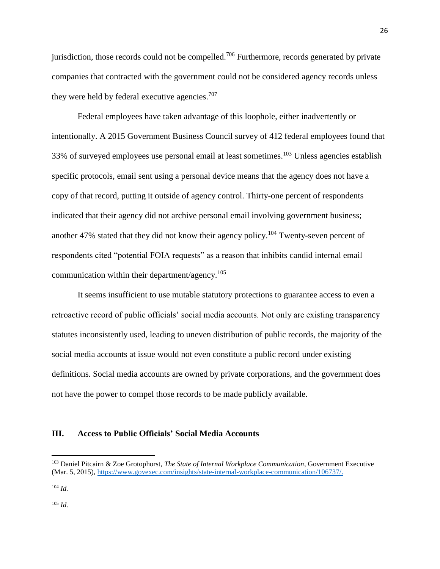jurisdiction, those records could not be compelled.<sup>706</sup> Furthermore, records generated by private companies that contracted with the government could not be considered agency records unless they were held by federal executive agencies.<sup>707</sup>

Federal employees have taken advantage of this loophole, either inadvertently or intentionally. A 2015 Government Business Council survey of 412 federal employees found that 33% of surveyed employees use personal email at least sometimes.<sup>103</sup> Unless agencies establish specific protocols, email sent using a personal device means that the agency does not have a copy of that record, putting it outside of agency control. Thirty-one percent of respondents indicated that their agency did not archive personal email involving government business; another 47% stated that they did not know their agency policy.<sup>104</sup> Twenty-seven percent of respondents cited "potential FOIA requests" as a reason that inhibits candid internal email communication within their department/agency.<sup>105</sup>

It seems insufficient to use mutable statutory protections to guarantee access to even a retroactive record of public officials' social media accounts. Not only are existing transparency statutes inconsistently used, leading to uneven distribution of public records, the majority of the social media accounts at issue would not even constitute a public record under existing definitions. Social media accounts are owned by private corporations, and the government does not have the power to compel those records to be made publicly available.

#### **III. Access to Public Officials' Social Media Accounts**

 $\overline{\phantom{a}}$ 

<sup>105</sup> *Id.*

<sup>103</sup> Daniel Pitcairn & Zoe Grotophorst, *The State of Internal Workplace Communication*, Government Executive (Mar. 5, 2015), [https://www.govexec.com/insights/state-internal-workplace-communication/106737/.](https://www.govexec.com/insights/state-internal-workplace-communication/106737/)

 $104$  *Id.*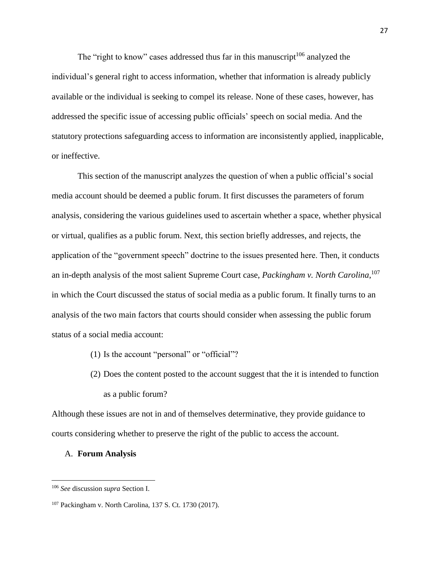The "right to know" cases addressed thus far in this manuscript<sup>106</sup> analyzed the individual's general right to access information, whether that information is already publicly available or the individual is seeking to compel its release. None of these cases, however, has addressed the specific issue of accessing public officials' speech on social media. And the statutory protections safeguarding access to information are inconsistently applied, inapplicable, or ineffective.

This section of the manuscript analyzes the question of when a public official's social media account should be deemed a public forum. It first discusses the parameters of forum analysis, considering the various guidelines used to ascertain whether a space, whether physical or virtual, qualifies as a public forum. Next, this section briefly addresses, and rejects, the application of the "government speech" doctrine to the issues presented here. Then, it conducts an in-depth analysis of the most salient Supreme Court case, *Packingham v. North Carolina*, 107 in which the Court discussed the status of social media as a public forum. It finally turns to an analysis of the two main factors that courts should consider when assessing the public forum status of a social media account:

- (1) Is the account "personal" or "official"?
- (2) Does the content posted to the account suggest that the it is intended to function as a public forum?

Although these issues are not in and of themselves determinative, they provide guidance to courts considering whether to preserve the right of the public to access the account.

#### A. **Forum Analysis**

 $\overline{a}$ 

<sup>106</sup> *See* discussion *supra* Section I.

<sup>107</sup> Packingham v. North Carolina, 137 S. Ct. 1730 (2017).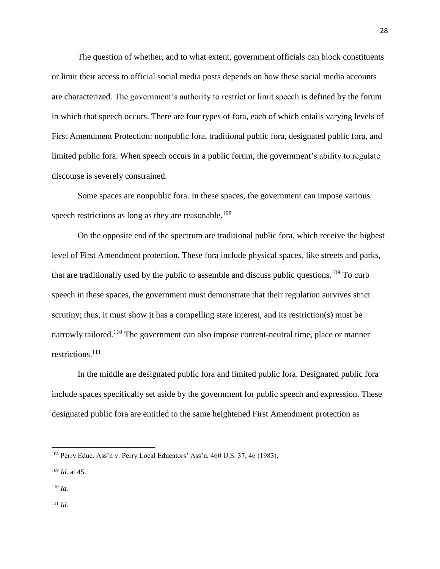The question of whether, and to what extent, government officials can block constituents or limit their access to official social media posts depends on how these social media accounts are characterized. The government's authority to restrict or limit speech is defined by the forum in which that speech occurs. There are four types of fora, each of which entails varying levels of First Amendment Protection: nonpublic fora, traditional public fora, designated public fora, and limited public fora. When speech occurs in a public forum, the government's ability to regulate discourse is severely constrained.

Some spaces are nonpublic fora. In these spaces, the government can impose various speech restrictions as long as they are reasonable.<sup>108</sup>

On the opposite end of the spectrum are traditional public fora, which receive the highest level of First Amendment protection. These fora include physical spaces, like streets and parks, that are traditionally used by the public to assemble and discuss public questions.<sup>109</sup> To curb speech in these spaces, the government must demonstrate that their regulation survives strict scrutiny; thus, it must show it has a compelling state interest, and its restriction(s) must be narrowly tailored.<sup>110</sup> The government can also impose content-neutral time, place or manner restrictions.<sup>111</sup>

In the middle are designated public fora and limited public fora. Designated public fora include spaces specifically set aside by the government for public speech and expression. These designated public fora are entitled to the same heightened First Amendment protection as

 $\overline{a}$ 

<sup>111</sup> *Id.*

<sup>108</sup> Perry Educ. Ass'n v. Perry Local Educators' Ass'n, 460 U.S. 37, 46 (1983).

<sup>109</sup> *Id.* at 45.

<sup>110</sup> *Id.*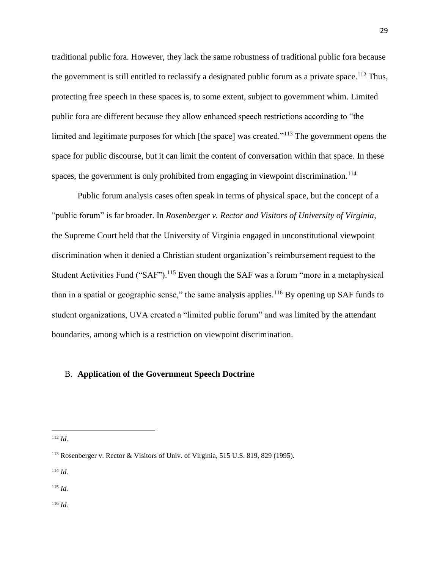traditional public fora. However, they lack the same robustness of traditional public fora because the government is still entitled to reclassify a designated public forum as a private space.<sup>112</sup> Thus, protecting free speech in these spaces is, to some extent, subject to government whim. Limited public fora are different because they allow enhanced speech restrictions according to "the limited and legitimate purposes for which [the space] was created."<sup>113</sup> The government opens the space for public discourse, but it can limit the content of conversation within that space. In these spaces, the government is only prohibited from engaging in viewpoint discrimination.<sup>114</sup>

Public forum analysis cases often speak in terms of physical space, but the concept of a "public forum" is far broader. In *Rosenberger v. Rector and Visitors of University of Virginia*, the Supreme Court held that the University of Virginia engaged in unconstitutional viewpoint discrimination when it denied a Christian student organization's reimbursement request to the Student Activities Fund ("SAF").<sup>115</sup> Even though the SAF was a forum "more in a metaphysical than in a spatial or geographic sense," the same analysis applies.<sup>116</sup> By opening up SAF funds to student organizations, UVA created a "limited public forum" and was limited by the attendant boundaries, among which is a restriction on viewpoint discrimination.

#### B. **Application of the Government Speech Doctrine**

 $\overline{\phantom{a}}$ 

<sup>114</sup> *Id.*

<sup>115</sup> *Id.*

<sup>116</sup> *Id.*

<sup>112</sup> *Id.*

<sup>113</sup> Rosenberger v. Rector & Visitors of Univ. of Virginia, 515 U.S. 819, 829 (1995).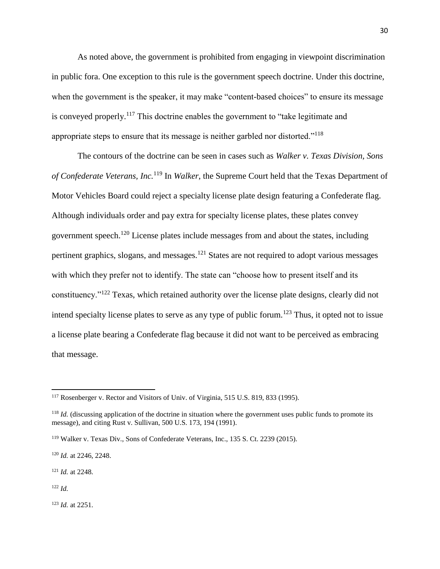As noted above, the government is prohibited from engaging in viewpoint discrimination in public fora. One exception to this rule is the government speech doctrine. Under this doctrine, when the government is the speaker, it may make "content-based choices" to ensure its message is conveyed properly.<sup>117</sup> This doctrine enables the government to "take legitimate and appropriate steps to ensure that its message is neither garbled nor distorted."<sup>118</sup>

The contours of the doctrine can be seen in cases such as *Walker v. Texas Division, Sons of Confederate Veterans, Inc.*<sup>119</sup> In *Walker*, the Supreme Court held that the Texas Department of Motor Vehicles Board could reject a specialty license plate design featuring a Confederate flag. Although individuals order and pay extra for specialty license plates, these plates convey government speech.<sup>120</sup> License plates include messages from and about the states, including pertinent graphics, slogans, and messages.<sup>121</sup> States are not required to adopt various messages with which they prefer not to identify. The state can "choose how to present itself and its constituency."<sup>122</sup> Texas, which retained authority over the license plate designs, clearly did not intend specialty license plates to serve as any type of public forum.<sup>123</sup> Thus, it opted not to issue a license plate bearing a Confederate flag because it did not want to be perceived as embracing that message.

<sup>121</sup> *Id.* at 2248.

<sup>122</sup> *Id.*

 $\overline{\phantom{a}}$ 

<sup>123</sup> *Id.* at 2251.

<sup>&</sup>lt;sup>117</sup> Rosenberger v. Rector and Visitors of Univ. of Virginia, 515 U.S. 819, 833 (1995).

<sup>&</sup>lt;sup>118</sup> *Id.* (discussing application of the doctrine in situation where the government uses public funds to promote its message), and citing Rust v. Sullivan, 500 U.S. 173, 194 (1991).

<sup>119</sup> Walker v. Texas Div., Sons of Confederate Veterans, Inc., 135 S. Ct. 2239 (2015).

<sup>120</sup> *Id.* at 2246, 2248.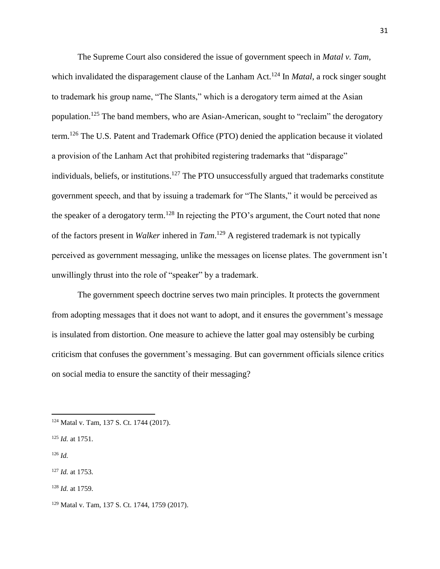The Supreme Court also considered the issue of government speech in *Matal v. Tam*, which invalidated the disparagement clause of the Lanham Act.<sup>124</sup> In *Matal*, a rock singer sought to trademark his group name, "The Slants," which is a derogatory term aimed at the Asian population.<sup>125</sup> The band members, who are Asian-American, sought to "reclaim" the derogatory term.<sup>126</sup> The U.S. Patent and Trademark Office (PTO) denied the application because it violated a provision of the Lanham Act that prohibited registering trademarks that "disparage" individuals, beliefs, or institutions.<sup>127</sup> The PTO unsuccessfully argued that trademarks constitute government speech, and that by issuing a trademark for "The Slants," it would be perceived as the speaker of a derogatory term.<sup>128</sup> In rejecting the PTO's argument, the Court noted that none of the factors present in *Walker* inhered in *Tam*. <sup>129</sup> A registered trademark is not typically perceived as government messaging, unlike the messages on license plates. The government isn't unwillingly thrust into the role of "speaker" by a trademark.

The government speech doctrine serves two main principles. It protects the government from adopting messages that it does not want to adopt, and it ensures the government's message is insulated from distortion. One measure to achieve the latter goal may ostensibly be curbing criticism that confuses the government's messaging. But can government officials silence critics on social media to ensure the sanctity of their messaging?

<sup>126</sup> *Id.*

<sup>124</sup> Matal v. Tam, 137 S. Ct. 1744 (2017).

<sup>125</sup> *Id.* at 1751.

<sup>127</sup> *Id.* at 1753.

<sup>128</sup> *Id.* at 1759.

<sup>129</sup> Matal v. Tam, 137 S. Ct. 1744, 1759 (2017).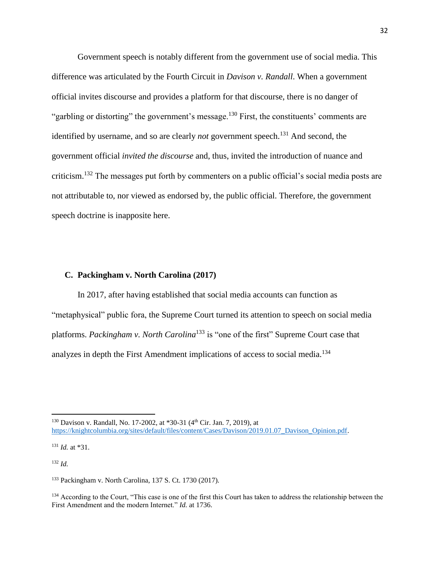Government speech is notably different from the government use of social media. This difference was articulated by the Fourth Circuit in *Davison v. Randall*. When a government official invites discourse and provides a platform for that discourse, there is no danger of "garbling or distorting" the government's message.<sup>130</sup> First, the constituents' comments are identified by username, and so are clearly *not* government speech.<sup>131</sup> And second, the government official *invited the discourse* and, thus, invited the introduction of nuance and criticism.<sup>132</sup> The messages put forth by commenters on a public official's social media posts are not attributable to, nor viewed as endorsed by, the public official. Therefore, the government speech doctrine is inapposite here.

#### **C. Packingham v. North Carolina (2017)**

In 2017, after having established that social media accounts can function as "metaphysical" public fora, the Supreme Court turned its attention to speech on social media platforms. *Packingham v. North Carolina*<sup>133</sup> is "one of the first" Supreme Court case that analyzes in depth the First Amendment implications of access to social media.<sup>134</sup>

<sup>131</sup> *Id.* at \*31.

<sup>132</sup> *Id.*

<sup>&</sup>lt;sup>130</sup> Davison v. Randall, No. 17-2002, at \*30-31 (4<sup>th</sup> Cir. Jan. 7, 2019), at [https://knightcolumbia.org/sites/default/files/content/Cases/Davison/2019.01.07\\_Davison\\_Opinion.pdf.](https://knightcolumbia.org/sites/default/files/content/Cases/Davison/2019.01.07_Davison_Opinion.pdf)

<sup>133</sup> Packingham v. North Carolina, 137 S. Ct. 1730 (2017).

<sup>&</sup>lt;sup>134</sup> According to the Court, "This case is one of the first this Court has taken to address the relationship between the First Amendment and the modern Internet." *Id.* at 1736.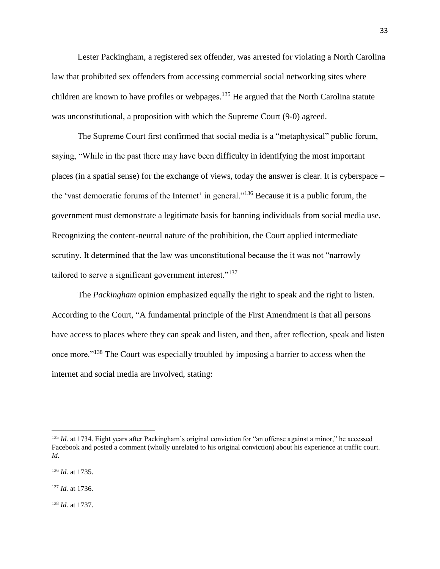Lester Packingham, a registered sex offender, was arrested for violating a North Carolina law that prohibited sex offenders from accessing commercial social networking sites where children are known to have profiles or webpages.<sup>135</sup> He argued that the North Carolina statute was unconstitutional, a proposition with which the Supreme Court (9-0) agreed.

The Supreme Court first confirmed that social media is a "metaphysical" public forum, saying, "While in the past there may have been difficulty in identifying the most important places (in a spatial sense) for the exchange of views, today the answer is clear. It is cyberspace – the 'vast democratic forums of the Internet' in general."<sup>136</sup> Because it is a public forum, the government must demonstrate a legitimate basis for banning individuals from social media use. Recognizing the content-neutral nature of the prohibition, the Court applied intermediate scrutiny. It determined that the law was unconstitutional because the it was not "narrowly tailored to serve a significant government interest."<sup>137</sup>

The *Packingham* opinion emphasized equally the right to speak and the right to listen. According to the Court, "A fundamental principle of the First Amendment is that all persons have access to places where they can speak and listen, and then, after reflection, speak and listen once more."<sup>138</sup> The Court was especially troubled by imposing a barrier to access when the internet and social media are involved, stating:

 $\overline{\phantom{a}}$ 

<sup>138</sup> *Id.* at 1737.

<sup>&</sup>lt;sup>135</sup> *Id.* at 1734. Eight years after Packingham's original conviction for "an offense against a minor," he accessed Facebook and posted a comment (wholly unrelated to his original conviction) about his experience at traffic court. *Id.*

<sup>136</sup> *Id.* at 1735.

<sup>137</sup> *Id.* at 1736.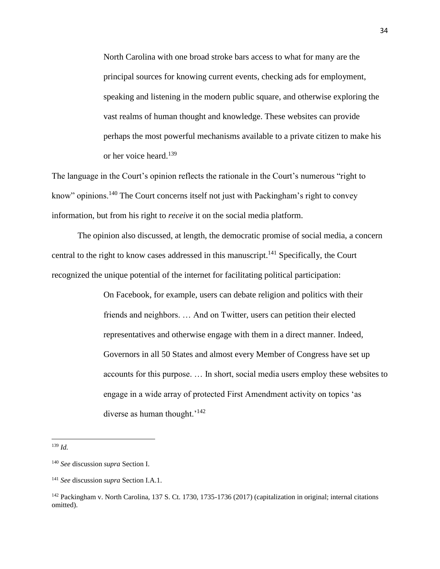North Carolina with one broad stroke bars access to what for many are the principal sources for knowing current events, checking ads for employment, speaking and listening in the modern public square, and otherwise exploring the vast realms of human thought and knowledge. These websites can provide perhaps the most powerful mechanisms available to a private citizen to make his or her voice heard.<sup>139</sup>

The language in the Court's opinion reflects the rationale in the Court's numerous "right to know" opinions.<sup>140</sup> The Court concerns itself not just with Packingham's right to convey information, but from his right to *receive* it on the social media platform.

The opinion also discussed, at length, the democratic promise of social media, a concern central to the right to know cases addressed in this manuscript.<sup>141</sup> Specifically, the Court recognized the unique potential of the internet for facilitating political participation:

> On Facebook, for example, users can debate religion and politics with their friends and neighbors. … And on Twitter, users can petition their elected representatives and otherwise engage with them in a direct manner. Indeed, Governors in all 50 States and almost every Member of Congress have set up accounts for this purpose. … In short, social media users employ these websites to engage in a wide array of protected First Amendment activity on topics 'as diverse as human thought.<sup>'142</sup>

<sup>139</sup> *Id.*

<sup>140</sup> *See* discussion *supra* Section I.

<sup>141</sup> *See* discussion *supra* Section I.A.1.

<sup>&</sup>lt;sup>142</sup> Packingham v. North Carolina, 137 S. Ct. 1730, 1735-1736 (2017) (capitalization in original; internal citations omitted).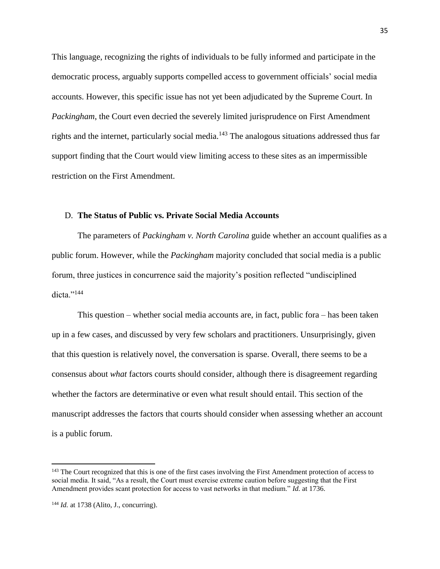This language, recognizing the rights of individuals to be fully informed and participate in the democratic process, arguably supports compelled access to government officials' social media accounts. However, this specific issue has not yet been adjudicated by the Supreme Court. In *Packingham*, the Court even decried the severely limited jurisprudence on First Amendment rights and the internet, particularly social media.<sup>143</sup> The analogous situations addressed thus far support finding that the Court would view limiting access to these sites as an impermissible restriction on the First Amendment.

#### D. **The Status of Public vs. Private Social Media Accounts**

The parameters of *Packingham v. North Carolina* guide whether an account qualifies as a public forum. However, while the *Packingham* majority concluded that social media is a public forum, three justices in concurrence said the majority's position reflected "undisciplined dicta."<sup>144</sup>

This question – whether social media accounts are, in fact, public fora – has been taken up in a few cases, and discussed by very few scholars and practitioners. Unsurprisingly, given that this question is relatively novel, the conversation is sparse. Overall, there seems to be a consensus about *what* factors courts should consider, although there is disagreement regarding whether the factors are determinative or even what result should entail. This section of the manuscript addresses the factors that courts should consider when assessing whether an account is a public forum.

<sup>&</sup>lt;sup>143</sup> The Court recognized that this is one of the first cases involving the First Amendment protection of access to social media. It said, "As a result, the Court must exercise extreme caution before suggesting that the First Amendment provides scant protection for access to vast networks in that medium." *Id.* at 1736.

<sup>144</sup> *Id.* at 1738 (Alito, J., concurring).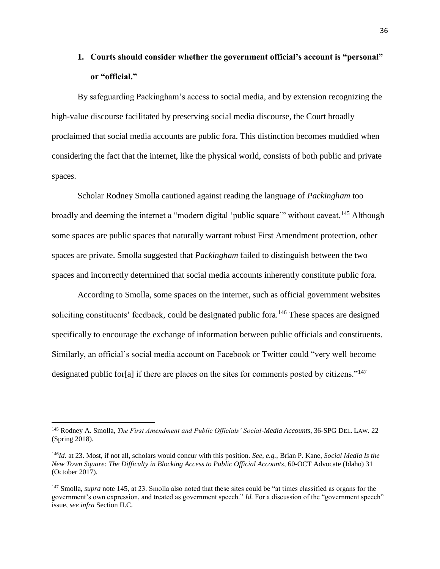# **1. Courts should consider whether the government official's account is "personal" or "official."**

By safeguarding Packingham's access to social media, and by extension recognizing the high-value discourse facilitated by preserving social media discourse, the Court broadly proclaimed that social media accounts are public fora. This distinction becomes muddied when considering the fact that the internet, like the physical world, consists of both public and private spaces.

<span id="page-35-0"></span>Scholar Rodney Smolla cautioned against reading the language of *Packingham* too broadly and deeming the internet a "modern digital 'public square'" without caveat.<sup>145</sup> Although some spaces are public spaces that naturally warrant robust First Amendment protection, other spaces are private. Smolla suggested that *Packingham* failed to distinguish between the two spaces and incorrectly determined that social media accounts inherently constitute public fora.

<span id="page-35-1"></span>According to Smolla, some spaces on the internet, such as official government websites soliciting constituents' feedback, could be designated public fora.<sup>146</sup> These spaces are designed specifically to encourage the exchange of information between public officials and constituents. Similarly, an official's social media account on Facebook or Twitter could "very well become designated public for[a] if there are places on the sites for comments posted by citizens."<sup>147</sup>

l

<sup>145</sup> Rodney A. Smolla, *The First Amendment and Public Officials' Social-Media Accounts*, 36-SPG DEL. LAW. 22 (Spring 2018).

<sup>146</sup>*Id.* at 23. Most, if not all, scholars would concur with this position. *See, e.g.,* Brian P. Kane, *Social Media Is the New Town Square: The Difficulty in Blocking Access to Public Official Accounts*, 60-OCT Advocate (Idaho) 31 (October 2017).

<sup>&</sup>lt;sup>147</sup> Smolla, *supra* note [145,](#page-35-0) at 23. Smolla also noted that these sites could be "at times classified as organs for the government's own expression, and treated as government speech." *Id.* For a discussion of the "government speech" issue, *see infra* Section II.C.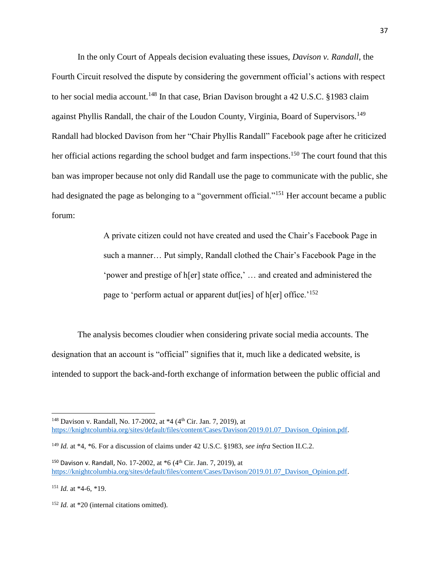In the only Court of Appeals decision evaluating these issues, *Davison v. Randall*, the Fourth Circuit resolved the dispute by considering the government official's actions with respect to her social media account.<sup>148</sup> In that case, Brian Davison brought a 42 U.S.C. §1983 claim against Phyllis Randall, the chair of the Loudon County, Virginia, Board of Supervisors.<sup>149</sup> Randall had blocked Davison from her "Chair Phyllis Randall" Facebook page after he criticized her official actions regarding the school budget and farm inspections.<sup>150</sup> The court found that this ban was improper because not only did Randall use the page to communicate with the public, she had designated the page as belonging to a "government official."<sup>151</sup> Her account became a public forum:

> A private citizen could not have created and used the Chair's Facebook Page in such a manner… Put simply, Randall clothed the Chair's Facebook Page in the 'power and prestige of h[er] state office,' … and created and administered the page to 'perform actual or apparent dut[ies] of h[er] office.<sup>'152</sup>

The analysis becomes cloudier when considering private social media accounts. The designation that an account is "official" signifies that it, much like a dedicated website, is intended to support the back-and-forth exchange of information between the public official and

<sup>&</sup>lt;sup>148</sup> Davison v. Randall, No. 17-2002, at \*4 (4<sup>th</sup> Cir. Jan. 7, 2019), at [https://knightcolumbia.org/sites/default/files/content/Cases/Davison/2019.01.07\\_Davison\\_Opinion.pdf.](https://knightcolumbia.org/sites/default/files/content/Cases/Davison/2019.01.07_Davison_Opinion.pdf)

<sup>149</sup> *Id.* at \*4, \*6. For a discussion of claims under 42 U.S.C. §1983, *see infra* Section II.C.2.

<sup>&</sup>lt;sup>150</sup> Davison v. Randall, No. 17-2002, at  $*6$  (4<sup>th</sup> Cir. Jan. 7, 2019), at [https://knightcolumbia.org/sites/default/files/content/Cases/Davison/2019.01.07\\_Davison\\_Opinion.pdf.](https://knightcolumbia.org/sites/default/files/content/Cases/Davison/2019.01.07_Davison_Opinion.pdf)

<sup>151</sup> *Id.* at \*4-6, \*19.

<sup>&</sup>lt;sup>152</sup> *Id.* at \*20 (internal citations omitted).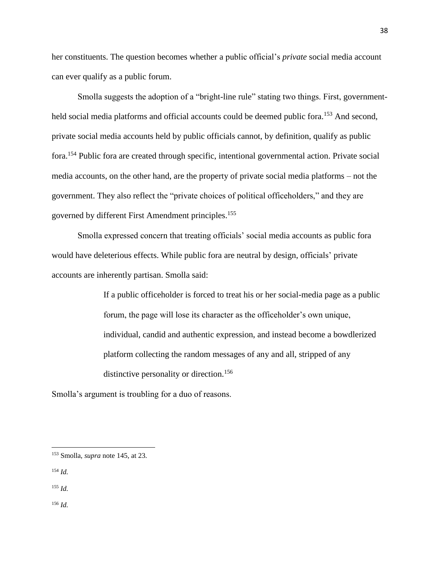her constituents. The question becomes whether a public official's *private* social media account can ever qualify as a public forum.

Smolla suggests the adoption of a "bright-line rule" stating two things. First, governmentheld social media platforms and official accounts could be deemed public fora.<sup>153</sup> And second, private social media accounts held by public officials cannot, by definition, qualify as public fora.<sup>154</sup> Public fora are created through specific, intentional governmental action. Private social media accounts, on the other hand, are the property of private social media platforms – not the government. They also reflect the "private choices of political officeholders," and they are governed by different First Amendment principles.<sup>155</sup>

Smolla expressed concern that treating officials' social media accounts as public fora would have deleterious effects. While public fora are neutral by design, officials' private accounts are inherently partisan. Smolla said:

> If a public officeholder is forced to treat his or her social-media page as a public forum, the page will lose its character as the officeholder's own unique, individual, candid and authentic expression, and instead become a bowdlerized platform collecting the random messages of any and all, stripped of any distinctive personality or direction.<sup>156</sup>

Smolla's argument is troubling for a duo of reasons.

<sup>154</sup> *Id.*

 $\overline{a}$ 

<sup>155</sup> *Id.*

<sup>156</sup> *Id.*

<sup>153</sup> Smolla, *supra* note [145,](#page-35-0) at 23.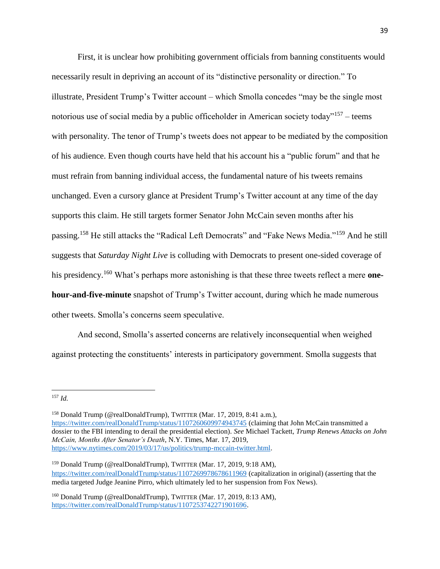First, it is unclear how prohibiting government officials from banning constituents would necessarily result in depriving an account of its "distinctive personality or direction." To illustrate, President Trump's Twitter account – which Smolla concedes "may be the single most notorious use of social media by a public officeholder in American society today"<sup>157</sup> – teems with personality. The tenor of Trump's tweets does not appear to be mediated by the composition of his audience. Even though courts have held that his account his a "public forum" and that he must refrain from banning individual access, the fundamental nature of his tweets remains unchanged. Even a cursory glance at President Trump's Twitter account at any time of the day supports this claim. He still targets former Senator John McCain seven months after his passing.<sup>158</sup> He still attacks the "Radical Left Democrats" and "Fake News Media."<sup>159</sup> And he still suggests that *Saturday Night Live* is colluding with Democrats to present one-sided coverage of his presidency.<sup>160</sup> What's perhaps more astonishing is that these three tweets reflect a mere **onehour-and-five-minute** snapshot of Trump's Twitter account, during which he made numerous other tweets. Smolla's concerns seem speculative.

And second, Smolla's asserted concerns are relatively inconsequential when weighed against protecting the constituents' interests in participatory government. Smolla suggests that

<sup>158</sup> Donald Trump (@realDonaldTrump), TWITTER (Mar. 17, 2019, 8:41 a.m.), <https://twitter.com/realDonaldTrump/status/1107260609974943745> (claiming that John McCain transmitted a dossier to the FBI intending to derail the presidential election). *See* Michael Tackett, *Trump Renews Attacks on John McCain, Months After Senator's Death*, N.Y. Times, Mar. 17, 2019, [https://www.nytimes.com/2019/03/17/us/politics/trump-mccain-twitter.html.](https://www.nytimes.com/2019/03/17/us/politics/trump-mccain-twitter.html)

<sup>159</sup> Donald Trump (@realDonaldTrump), TWITTER (Mar. 17, 2019, 9:18 AM), <https://twitter.com/realDonaldTrump/status/1107269978678611969> (capitalization in original) (asserting that the media targeted Judge Jeanine Pirro, which ultimately led to her suspension from Fox News).

<sup>160</sup> Donald Trump (@realDonaldTrump), TWITTER (Mar. 17, 2019, 8:13 AM), [https://twitter.com/realDonaldTrump/status/1107253742271901696.](https://twitter.com/realDonaldTrump/status/1107253742271901696)

 $\overline{\phantom{a}}$ <sup>157</sup> *Id.*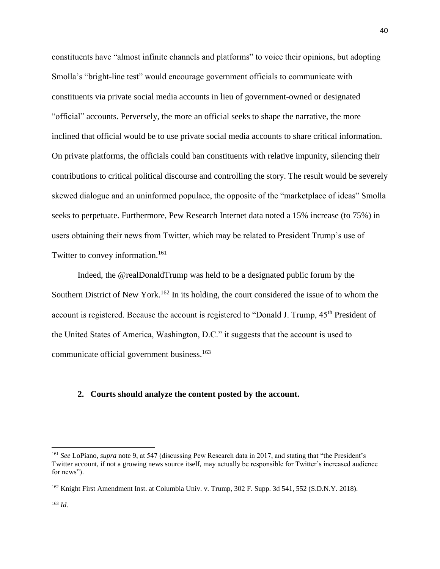constituents have "almost infinite channels and platforms" to voice their opinions, but adopting Smolla's "bright-line test" would encourage government officials to communicate with constituents via private social media accounts in lieu of government-owned or designated "official" accounts. Perversely, the more an official seeks to shape the narrative, the more inclined that official would be to use private social media accounts to share critical information. On private platforms, the officials could ban constituents with relative impunity, silencing their contributions to critical political discourse and controlling the story. The result would be severely skewed dialogue and an uninformed populace, the opposite of the "marketplace of ideas" Smolla seeks to perpetuate. Furthermore, Pew Research Internet data noted a 15% increase (to 75%) in users obtaining their news from Twitter, which may be related to President Trump's use of Twitter to convey information.<sup>161</sup>

Indeed, the @realDonaldTrump was held to be a designated public forum by the Southern District of New York.<sup>162</sup> In its holding, the court considered the issue of to whom the account is registered. Because the account is registered to "Donald J. Trump, 45<sup>th</sup> President of the United States of America, Washington, D.C." it suggests that the account is used to communicate official government business.<sup>163</sup>

#### **2. Courts should analyze the content posted by the account.**

 $\overline{a}$ 

<sup>161</sup> *See* LoPiano, *supra* not[e 9,](#page-2-0) at 547 (discussing Pew Research data in 2017, and stating that "the President's Twitter account, if not a growing news source itself, may actually be responsible for Twitter's increased audience for news").

<sup>&</sup>lt;sup>162</sup> Knight First Amendment Inst. at Columbia Univ. v. Trump, 302 F. Supp. 3d 541, 552 (S.D.N.Y. 2018).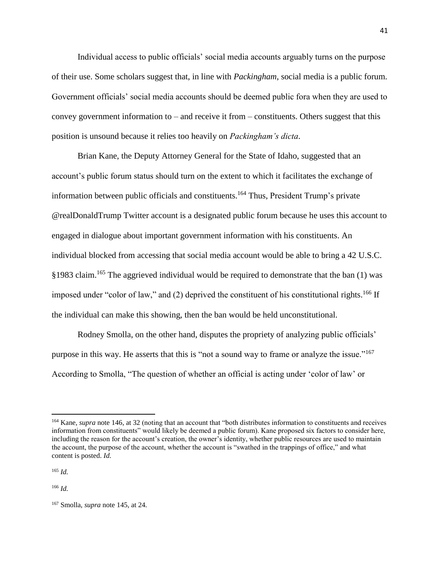Individual access to public officials' social media accounts arguably turns on the purpose of their use. Some scholars suggest that, in line with *Packingham*, social media is a public forum. Government officials' social media accounts should be deemed public fora when they are used to convey government information to – and receive it from – constituents. Others suggest that this position is unsound because it relies too heavily on *Packingham's dicta*.

Brian Kane, the Deputy Attorney General for the State of Idaho, suggested that an account's public forum status should turn on the extent to which it facilitates the exchange of information between public officials and constituents.<sup>164</sup> Thus, President Trump's private @realDonaldTrump Twitter account is a designated public forum because he uses this account to engaged in dialogue about important government information with his constituents. An individual blocked from accessing that social media account would be able to bring a 42 U.S.C. §1983 claim.<sup>165</sup> The aggrieved individual would be required to demonstrate that the ban (1) was imposed under "color of law," and  $(2)$  deprived the constituent of his constitutional rights.<sup>166</sup> If the individual can make this showing, then the ban would be held unconstitutional.

Rodney Smolla, on the other hand, disputes the propriety of analyzing public officials' purpose in this way. He asserts that this is "not a sound way to frame or analyze the issue."<sup>167</sup> According to Smolla, "The question of whether an official is acting under 'color of law' or

<sup>165</sup> *Id.*

 $\overline{\phantom{a}}$ 

<sup>166</sup> *Id.*

<sup>164</sup> Kane, *supra* note [146,](#page-35-1) at 32 (noting that an account that "both distributes information to constituents and receives information from constituents" would likely be deemed a public forum). Kane proposed six factors to consider here, including the reason for the account's creation, the owner's identity, whether public resources are used to maintain the account, the purpose of the account, whether the account is "swathed in the trappings of office," and what content is posted. *Id.*

<sup>167</sup> Smolla, *supra* note [145,](#page-35-0) at 24.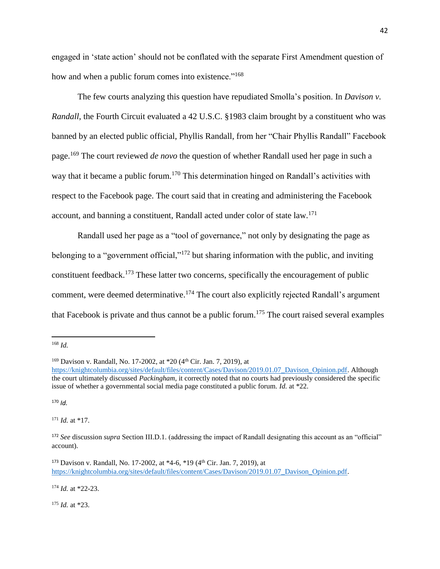engaged in 'state action' should not be conflated with the separate First Amendment question of how and when a public forum comes into existence."<sup>168</sup>

The few courts analyzing this question have repudiated Smolla's position. In *Davison v. Randall*, the Fourth Circuit evaluated a 42 U.S.C. §1983 claim brought by a constituent who was banned by an elected public official, Phyllis Randall, from her "Chair Phyllis Randall" Facebook page.<sup>169</sup> The court reviewed *de novo* the question of whether Randall used her page in such a way that it became a public forum.<sup>170</sup> This determination hinged on Randall's activities with respect to the Facebook page. The court said that in creating and administering the Facebook account, and banning a constituent, Randall acted under color of state law.<sup>171</sup>

Randall used her page as a "tool of governance," not only by designating the page as belonging to a "government official,"<sup>172</sup> but sharing information with the public, and inviting constituent feedback.<sup>173</sup> These latter two concerns, specifically the encouragement of public comment, were deemed determinative.<sup>174</sup> The court also explicitly rejected Randall's argument that Facebook is private and thus cannot be a public forum.<sup>175</sup> The court raised several examples

 $\overline{a}$ 

<sup>170</sup> *Id.*

<sup>171</sup> *Id.* at \*17.

<sup>174</sup> *Id.* at \*22-23.

<sup>175</sup> *Id.* at \*23.

<sup>168</sup> *Id.*

<sup>&</sup>lt;sup>169</sup> Davison v. Randall, No. 17-2002, at \*20 (4<sup>th</sup> Cir. Jan. 7, 2019), at

[https://knightcolumbia.org/sites/default/files/content/Cases/Davison/2019.01.07\\_Davison\\_Opinion.pdf.](https://knightcolumbia.org/sites/default/files/content/Cases/Davison/2019.01.07_Davison_Opinion.pdf) Although the court ultimately discussed *Packingham*, it correctly noted that no courts had previously considered the specific issue of whether a governmental social media page constituted a public forum. *Id.* at \*22.

<sup>172</sup> *See* discussion *supra* Section III.D.1. (addressing the impact of Randall designating this account as an "official" account).

<sup>&</sup>lt;sup>173</sup> Davison v. Randall, No. 17-2002, at \*4-6, \*19 (4<sup>th</sup> Cir. Jan. 7, 2019), at [https://knightcolumbia.org/sites/default/files/content/Cases/Davison/2019.01.07\\_Davison\\_Opinion.pdf.](https://knightcolumbia.org/sites/default/files/content/Cases/Davison/2019.01.07_Davison_Opinion.pdf)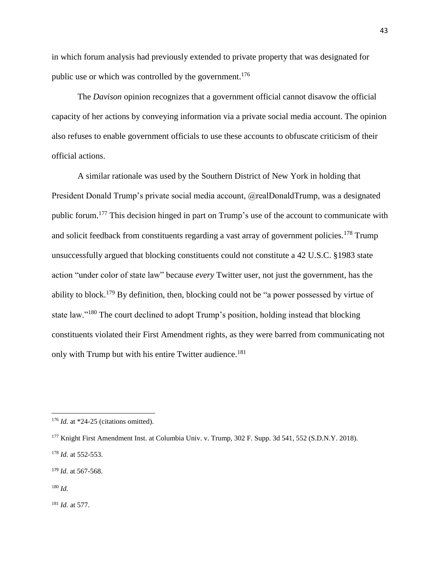in which forum analysis had previously extended to private property that was designated for public use or which was controlled by the government.<sup>176</sup>

The *Davison* opinion recognizes that a government official cannot disavow the official capacity of her actions by conveying information via a private social media account. The opinion also refuses to enable government officials to use these accounts to obfuscate criticism of their official actions.

A similar rationale was used by the Southern District of New York in holding that President Donald Trump's private social media account, @realDonaldTrump, was a designated public forum.<sup>177</sup> This decision hinged in part on Trump's use of the account to communicate with and solicit feedback from constituents regarding a vast array of government policies.<sup>178</sup> Trump unsuccessfully argued that blocking constituents could not constitute a 42 U.S.C. §1983 state action "under color of state law" because *every* Twitter user, not just the government, has the ability to block.<sup>179</sup> By definition, then, blocking could not be "a power possessed by virtue of state law."<sup>180</sup> The court declined to adopt Trump's position, holding instead that blocking constituents violated their First Amendment rights, as they were barred from communicating not only with Trump but with his entire Twitter audience.<sup>181</sup>

 $\overline{\phantom{a}}$ 

<sup>181</sup> *Id.* at 577.

<sup>&</sup>lt;sup>176</sup> *Id.* at \*24-25 (citations omitted).

<sup>177</sup> Knight First Amendment Inst. at Columbia Univ. v. Trump, 302 F. Supp. 3d 541, 552 (S.D.N.Y. 2018).

<sup>178</sup> *Id.* at 552-553.

<sup>179</sup> *Id.* at 567-568.

<sup>180</sup> *Id.*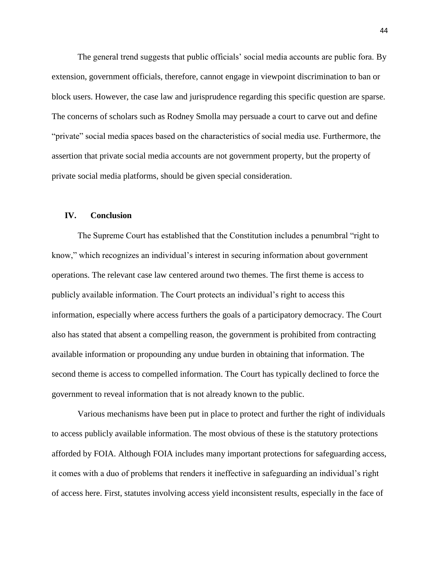The general trend suggests that public officials' social media accounts are public fora. By extension, government officials, therefore, cannot engage in viewpoint discrimination to ban or block users. However, the case law and jurisprudence regarding this specific question are sparse. The concerns of scholars such as Rodney Smolla may persuade a court to carve out and define "private" social media spaces based on the characteristics of social media use. Furthermore, the assertion that private social media accounts are not government property, but the property of private social media platforms, should be given special consideration.

#### **IV. Conclusion**

The Supreme Court has established that the Constitution includes a penumbral "right to know," which recognizes an individual's interest in securing information about government operations. The relevant case law centered around two themes. The first theme is access to publicly available information. The Court protects an individual's right to access this information, especially where access furthers the goals of a participatory democracy. The Court also has stated that absent a compelling reason, the government is prohibited from contracting available information or propounding any undue burden in obtaining that information. The second theme is access to compelled information. The Court has typically declined to force the government to reveal information that is not already known to the public.

Various mechanisms have been put in place to protect and further the right of individuals to access publicly available information. The most obvious of these is the statutory protections afforded by FOIA. Although FOIA includes many important protections for safeguarding access, it comes with a duo of problems that renders it ineffective in safeguarding an individual's right of access here. First, statutes involving access yield inconsistent results, especially in the face of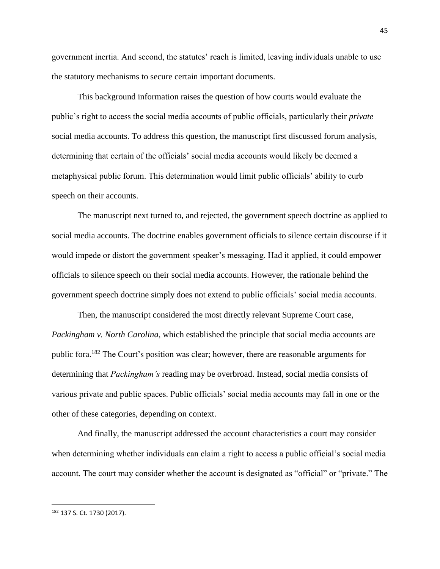government inertia. And second, the statutes' reach is limited, leaving individuals unable to use the statutory mechanisms to secure certain important documents.

This background information raises the question of how courts would evaluate the public's right to access the social media accounts of public officials, particularly their *private* social media accounts. To address this question, the manuscript first discussed forum analysis, determining that certain of the officials' social media accounts would likely be deemed a metaphysical public forum. This determination would limit public officials' ability to curb speech on their accounts.

The manuscript next turned to, and rejected, the government speech doctrine as applied to social media accounts. The doctrine enables government officials to silence certain discourse if it would impede or distort the government speaker's messaging. Had it applied, it could empower officials to silence speech on their social media accounts. However, the rationale behind the government speech doctrine simply does not extend to public officials' social media accounts.

Then, the manuscript considered the most directly relevant Supreme Court case, *Packingham v. North Carolina*, which established the principle that social media accounts are public fora.<sup>182</sup> The Court's position was clear; however, there are reasonable arguments for determining that *Packingham's* reading may be overbroad. Instead, social media consists of various private and public spaces. Public officials' social media accounts may fall in one or the other of these categories, depending on context.

And finally, the manuscript addressed the account characteristics a court may consider when determining whether individuals can claim a right to access a public official's social media account. The court may consider whether the account is designated as "official" or "private." The

<sup>182</sup> 137 S. Ct. 1730 (2017).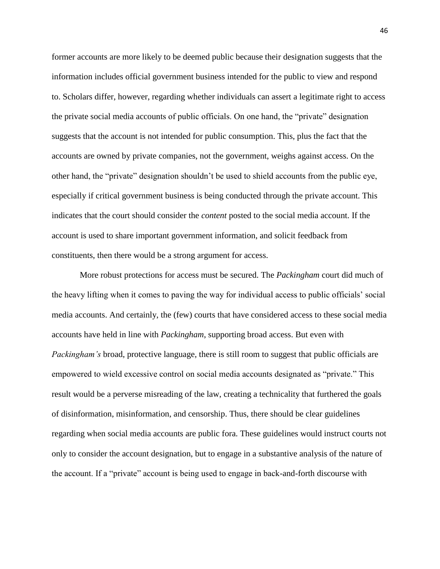former accounts are more likely to be deemed public because their designation suggests that the information includes official government business intended for the public to view and respond to. Scholars differ, however, regarding whether individuals can assert a legitimate right to access the private social media accounts of public officials. On one hand, the "private" designation suggests that the account is not intended for public consumption. This, plus the fact that the accounts are owned by private companies, not the government, weighs against access. On the other hand, the "private" designation shouldn't be used to shield accounts from the public eye, especially if critical government business is being conducted through the private account. This indicates that the court should consider the *content* posted to the social media account. If the account is used to share important government information, and solicit feedback from constituents, then there would be a strong argument for access.

More robust protections for access must be secured. The *Packingham* court did much of the heavy lifting when it comes to paving the way for individual access to public officials' social media accounts. And certainly, the (few) courts that have considered access to these social media accounts have held in line with *Packingham*, supporting broad access. But even with *Packingham's* broad, protective language, there is still room to suggest that public officials are empowered to wield excessive control on social media accounts designated as "private." This result would be a perverse misreading of the law, creating a technicality that furthered the goals of disinformation, misinformation, and censorship. Thus, there should be clear guidelines regarding when social media accounts are public fora. These guidelines would instruct courts not only to consider the account designation, but to engage in a substantive analysis of the nature of the account. If a "private" account is being used to engage in back-and-forth discourse with